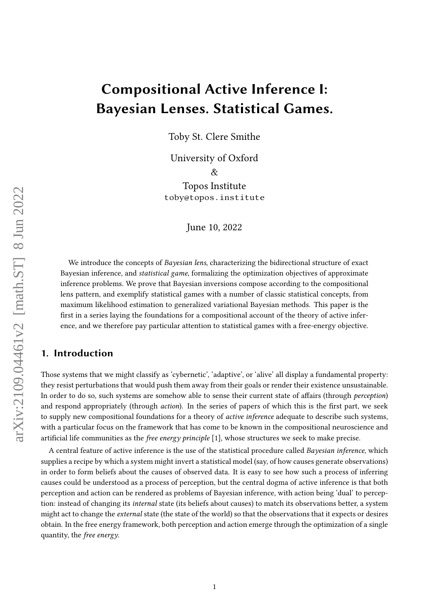# Compositional Active Inference I: Bayesian Lenses. Statistical Games.

Toby St. Clere Smithe

University of Oxford  $\mathcal{R}_{\mathcal{F}}$ Topos Institute

toby@topos.institute

June 10, 2022

We introduce the concepts of Bayesian lens, characterizing the bidirectional structure of exact Bayesian inference, and statistical game, formalizing the optimization objectives of approximate inference problems. We prove that Bayesian inversions compose according to the compositional lens pattern, and exemplify statistical games with a number of classic statistical concepts, from maximum likelihood estimation to generalized variational Bayesian methods. This paper is the first in a series laying the foundations for a compositional account of the theory of active inference, and we therefore pay particular attention to statistical games with a free-energy objective.

# 1. Introduction

Those systems that we might classify as 'cybernetic', 'adaptive', or 'alive' all display a fundamental property: they resist perturbations that would push them away from their goals or render their existence unsustainable. In order to do so, such systems are somehow able to sense their current state of affairs (through *perception*) and respond appropriately (through action). In the series of papers of which this is the first part, we seek to supply new compositional foundations for a theory of active inference adequate to describe such systems, with a particular focus on the framework that has come to be known in the compositional neuroscience and artificial life communities as the *free energy principle*  $[1]$ , whose structures we seek to make precise.

A central feature of active inference is the use of the statistical procedure called Bayesian inference, which supplies a recipe by which a system might invert a statistical model (say, of how causes generate observations) in order to form beliefs about the causes of observed data. It is easy to see how such a process of inferring causes could be understood as a process of perception, but the central dogma of active inference is that both perception and action can be rendered as problems of Bayesian inference, with action being 'dual' to perception: instead of changing its internal state (its beliefs about causes) to match its observations better, a system might act to change the external state (the state of the world) so that the observations that it expects or desires obtain. In the free energy framework, both perception and action emerge through the optimization of a single quantity, the free energy.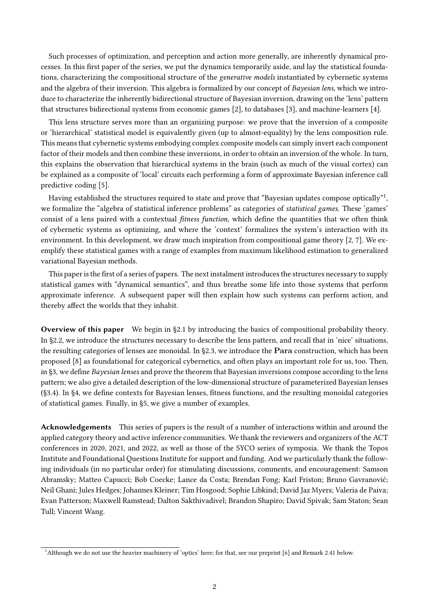Such processes of optimization, and perception and action more generally, are inherently dynamical processes. In this first paper of the series, we put the dynamics temporarily aside, and lay the statistical foundations, characterizing the compositional structure of the generative models instantiated by cybernetic systems and the algebra of their inversion. This algebra is formalized by our concept of Bayesian lens, which we introduce to characterize the inherently bidirectional structure of Bayesian inversion, drawing on the 'lens' pattern that structures bidirectional systems from economic games [2], to databases [3], and machine-learners [4].

This lens structure serves more than an organizing purpose: we prove that the inversion of a composite or 'hierarchical' statistical model is equivalently given (up to almost-equality) by the lens composition rule. This means that cybernetic systems embodying complex composite models can simply invert each component factor of their models and then combine these inversions, in order to obtain an inversion of the whole. In turn, this explains the observation that hierarchical systems in the brain (such as much of the visual cortex) can be explained as a composite of 'local' circuits each performing a form of approximate Bayesian inference call predictive coding [5].

Having established the structures required to state and prove that "Bavesian updates compose optically"<sup>1</sup>. we formalize the "algebra of statistical inference problems" as categories of statistical games. These 'games' consist of a lens paired with a contextual *fitness function*, which define the quantities that we often think of cybernetic systems as optimizing, and where the 'context' formalizes the system's interaction with its environment. In this development, we draw much inspiration from compositional game theory [2, 7]. We exemplify these statistical games with a range of examples from maximum likelihood estimation to generalized variational Bayesian methods.

This paper is the first of a series of papers. The next instalment introduces the structures necessary to supply statistical games with "dynamical semantics", and thus breathe some life into those systems that perform approximate inference. A subsequent paper will then explain how such systems can perform action, and thereby affect the worlds that they inhabit.

Overview of this paper We begin in §2.1 by introducing the basics of compositional probability theory. In §2.2, we introduce the structures necessary to describe the lens pattern, and recall that in 'nice' situations, the resulting categories of lenses are monoidal. In §2.3, we introduce the Para construction, which has been proposed [8] as foundational for categorical cybernetics, and often plays an important role for us, too. Then, in §3, we define *Bayesian lenses* and prove the theorem that Bayesian inversions compose according to the lens pattern; we also give a detailed description of the low-dimensional structure of parameterized Bayesian lenses  $(S3.4)$ . In §4, we define contexts for Bayesian lenses, fitness functions, and the resulting monoidal categories of statistical games. Finally, in §5, we give a number of examples.

Acknowledgements This series of papers is the result of a number of interactions within and around the applied category theory and active inference communities. We thank the reviewers and organizers of the ACT conferences in 2020, 2021, and 2022, as well as those of the SYCO series of symposia. We thank the Topos Institute and Foundational Questions Institute for support and funding. And we particularly thank the following individuals (in no particular order) for stimulating discussions, comments, and encouragement: Samson Abramsky; Matteo Capucci; Bob Coecke; Lance da Costa; Brendan Fong; Karl Friston; Bruno Gavranović; Neil Ghani; Jules Hedges; Johannes Kleiner; Tim Hosgood; Sophie Libkind; David Jaz Myers; Valeria de Paiva; Evan Patterson; Maxwell Ramstead; Dalton Sakthivadivel; Brandon Shapiro; David Spivak; Sam Staton; Sean Tull; Vincent Wang.

<sup>&</sup>lt;sup>1</sup>Although we do not use the heavier machinery of 'optics' here; for that, see our preprint [6] and Remark 2.41 below.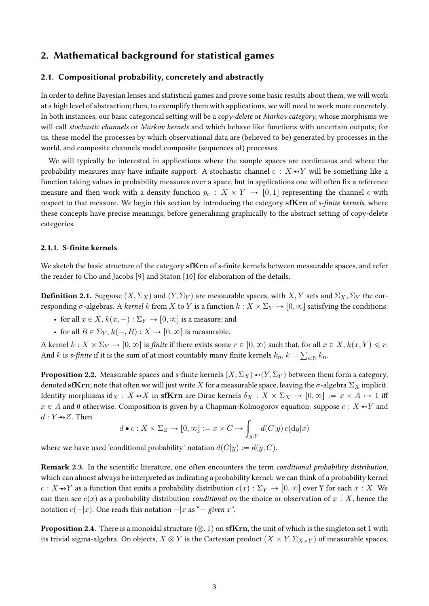# 2. Mathematical background for statistical games

### 2.1. Compositional probability, concretely and abstractly

In order to define Bayesian lenses and statistical games and prove some basic results about them, we will work at a high level of abstraction; then, to exemplify them with applications, we will need to work more concretely. In both instances, our basic categorical setting will be a *copy-delete* or *Markov category*, whose morphisms we will call *stochastic channels* or *Markov kernels* and which behave like functions with uncertain outputs; for us, these model the processes by which observational data are (believed to be) generated by processes in the world, and composite channels model composite (sequences of) processes.

We will typically be interested in applications where the sample spaces are continuous and where the probability measures may have infinite support. A stochastic channel  $c : X \rightarrow Y$  will be something like a function taking values in probability measures over a space, but in applications one will often fix a reference measure and then work with a density function  $p_c : X \times Y \to [0, 1]$  representing the channel c with respect to that measure. We begin this section by introducing the category sf $\bf{Krn}$  of s-finite kernels, where these concepts have precise meanings, before generalizing graphically to the abstract setting of copy-delete categories.

#### 2.1.1. S-finite kernels

We sketch the basic structure of the category sfKrn of s-finite kernels between measurable spaces, and refer the reader to Cho and Jacobs [9] and Staton [10] for elaboration of the details.

**Definition 2.1.** Suppose  $(X, \Sigma_X)$  and  $(Y, \Sigma_Y)$  are measurable spaces, with  $X, Y$  sets and  $\Sigma_X, \Sigma_Y$  the corresponding  $\sigma$ -algebras. A kernel k from X to Y is a function  $k : X \times \Sigma_Y \to [0, \infty]$  satisfying the conditions:

- for all  $x \in X$ ,  $k(x, -) : \Sigma_Y \to [0, \infty]$  is a measure; and
- for all  $B \in \Sigma_Y$ ,  $k(-, B) : X \to [0, \infty]$  is measurable.

A kernel  $k: X \times \Sigma_Y \to [0, \infty]$  is *finite* if there exists some  $r \in [0, \infty)$  such that, for all  $x \in X$ ,  $k(x, Y) \leq r$ . And  $k$  is s-finite if it is the sum of at most countably many finite kernels  $k_n$ ,  $k = \sum_{n:\mathbb{N}} k_n$ .

**Proposition 2.2.** Measurable spaces and s-finite kernels  $(X, \Sigma_X) \rightarrow (Y, \Sigma_Y)$  between them form a category, denoted sfKrn; note that often we will just write X for a measurable space, leaving the  $\sigma$ -algebra  $\Sigma_X$  implicit. Identity morphisms  $id_X : X \rightarrow X$  in sfKrn are Dirac kernels  $\delta_X : X \times \Sigma_X \rightarrow [0, \infty] := x \times A \mapsto 1$  iff  $x \in A$  and 0 otherwise. Composition is given by a Chapman-Kolmogorov equation: suppose  $c : X \rightarrow Y$  and  $d: Y \rightarrow Z$ . Then

$$
d \bullet c : X \times \Sigma_Z \to [0, \infty] := x \times C \mapsto \int_{y:Y} d(C|y) c(\mathrm{d}y|x)
$$

where we have used 'conditional probability' notation  $d(C|y) := d(y, C)$ .

Remark 2.3. In the scientific literature, one often encounters the term conditional probability distribution, which can almost always be interpreted as indicating a probability kernel: we can think of a probability kernel  $c: X \rightarrow Y$  as a function that emits a probability distribution  $c(x): \Sigma_Y \rightarrow [0, \infty]$  over Y for each  $x: X$ . We can then see  $c(x)$  as a probability distribution conditional on the choice or observation of  $x : X$ , hence the notation  $c(-|x)$ . One reads this notation  $-|x|$  as " $-$  given x".

**Proposition 2.4.** There is a monoidal structure  $(\otimes, 1)$  on sfKrn, the unit of which is the singleton set 1 with its trivial sigma-algebra. On objects,  $X \otimes Y$  is the Cartesian product  $(X \times Y, \Sigma_{X \times Y})$  of measurable spaces,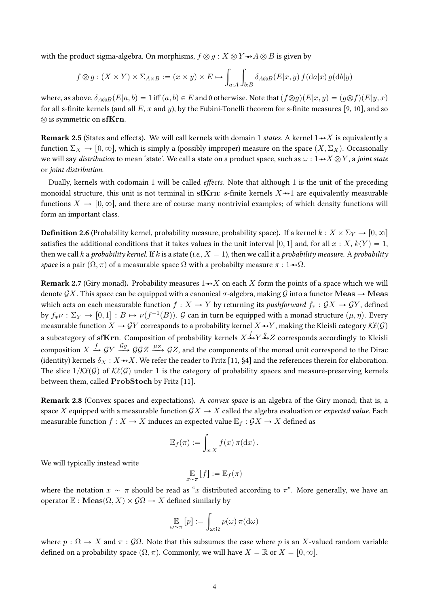with the product sigma-algebra. On morphisms,  $f \otimes g : X \otimes Y \rightarrow A \otimes B$  is given by

$$
f \otimes g : (X \times Y) \times \Sigma_{A \times B} := (x \times y) \times E \mapsto \int_{a:A} \int_{b:B} \delta_{A \otimes B}(E|x, y) f(\mathrm{d}a|x) g(\mathrm{d}b|y)
$$

where, as above,  $\delta_{A\otimes B}(E|a, b) = 1$  iff  $(a, b) \in E$  and 0 otherwise. Note that  $(f\otimes g)(E|x, y) = (g\otimes f)(E|y, x)$ for all s-finite kernels (and all E, x and y), by the Fubini-Tonelli theorem for s-finite measures [9, 10], and so  $\otimes$  is symmetric on sfKrn.

**Remark 2.5** (States and effects). We will call kernels with domain 1 states. A kernel  $1 \rightarrow X$  is equivalently a function  $\Sigma_X \to [0, \infty]$ , which is simply a (possibly improper) measure on the space  $(X, \Sigma_X)$ . Occasionally we will say distribution to mean 'state'. We call a state on a product space, such as  $\omega : 1 \rightarrow X \otimes Y$ , a joint state or joint distribution.

Dually, kernels with codomain 1 will be called *effects*. Note that although 1 is the unit of the preceding monoidal structure, this unit is not terminal in sfKrn: s-finite kernels  $X \rightarrow 1$  are equivalently measurable functions  $X \to [0, \infty]$ , and there are of course many nontrivial examples; of which density functions will form an important class.

**Definition 2.6** (Probability kernel, probability measure, probability space). If a kernel  $k : X \times \Sigma_Y \to [0, \infty]$ satisfies the additional conditions that it takes values in the unit interval [0, 1] and, for all  $x : X, k(Y) = 1$ , then we call k a probability kernel. If k is a state (i.e.,  $X = 1$ ), then we call it a probability measure. A probability space is a pair  $(\Omega, \pi)$  of a measurable space  $\Omega$  with a probabilty measure  $\pi : 1 \rightarrow \Omega$ .

**Remark 2.7** (Giry monad). Probability measures  $1 \rightarrow X$  on each X form the points of a space which we will denote  $\mathcal{G}X$ . This space can be equipped with a canonical  $\sigma$ -algebra, making  $\mathcal{G}$  into a functor Meas  $\to$  Meas which acts on each measurable function  $f : X \to Y$  by returning its pushforward  $f_* : \mathcal{G}X \to \mathcal{G}Y$ , defined by  $f_*\nu : \Sigma_Y \to [0, 1] : B \mapsto \nu(f^{-1}(B))$ .  $\mathcal G$  can in turn be equipped with a monad structure  $(\mu, \eta)$ . Every measurable function  $X \to \mathcal{G}Y$  corresponds to a probability kernel  $X \to Y$ , making the Kleisli category  $\mathcal{K}\ell(\mathcal{G})$ a subcategory of  $\mathbf{sfKrn}.$  Composition of probability kernels  $X \xrightarrow{f} Y \xrightarrow{g} Z$  corresponds accordingly to Kleisli composition  $X \stackrel{f}{\to} \mathcal{G}Y \stackrel{\mathcal{G}g}{\to} \mathcal{G}\mathcal{G}Z \stackrel{\mu_Z}{\to} \mathcal{G}Z$ , and the components of the monad unit correspond to the Dirac (identity) kernels  $\delta_X : X \rightarrow X$ . We refer the reader to Fritz [11, §4] and the references therein for elaboration. The slice  $1/K\ell(G)$  of  $K\ell(G)$  under 1 is the category of probability spaces and measure-preserving kernels between them, called ProbStoch by Fritz [11].

Remark 2.8 (Convex spaces and expectations). A convex space is an algebra of the Giry monad; that is, a space X equipped with a measurable function  $\mathcal{G}X \to X$  called the algebra evaluation or *expected value*. Each measurable function  $f : X \to X$  induces an expected value  $\mathbb{E}_f : \mathcal{G}X \to X$  defined as

$$
\mathbb{E}_f(\pi) := \int_{x:X} f(x) \, \pi(\mathrm{d}x) \, .
$$

We will typically instead write

$$
\mathop{\mathbb{E}}_{x \sim \pi} [f] := \mathop{\mathbb{E}}_f(\pi)
$$

where the notation  $x \sim \pi$  should be read as "x distributed according to  $\pi$ ". More generally, we have an operator  $\mathbb{E}: \mathbf{Meas}(\Omega, X) \times \mathcal{G}\Omega \to X$  defined similarly by

$$
\mathop{\mathbb{E}}_{\omega \sim \pi} [p] := \int_{\omega:\Omega} p(\omega) \, \pi(\mathrm{d}\omega)
$$

where  $p : \Omega \to X$  and  $\pi : \mathcal{G}\Omega$ . Note that this subsumes the case where p is an X-valued random variable defined on a probability space  $(\Omega, \pi)$ . Commonly, we will have  $X = \mathbb{R}$  or  $X = [0, \infty]$ .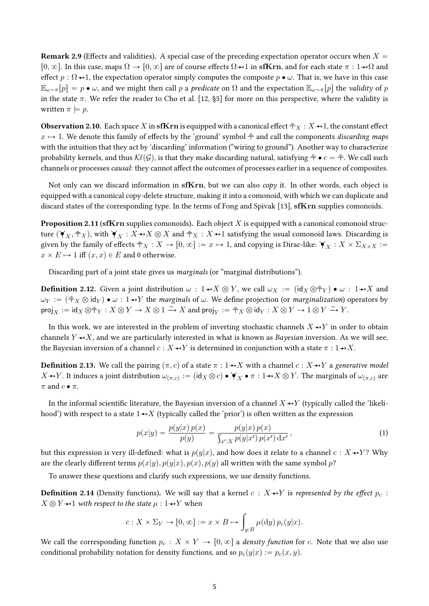**Remark 2.9** (Effects and validities). A special case of the preceding expectation operator occurs when  $X =$  $[0, \infty]$ . In this case, maps  $\Omega \to [0, \infty]$  are of course effects  $\Omega \to 1$  in sfKrn, and for each state  $\pi : 1 \to \Omega$  and effect  $p : \Omega \rightarrow 1$ , the expectation operator simply computes the composte  $p \bullet \omega$ . That is, we have in this case  $\mathbb{E}_{\omega \sim \pi}[p] = p \bullet \omega$ , and we might then call p a predicate on  $\Omega$  and the expectation  $\mathbb{E}_{\omega \sim \pi}[p]$  the validity of p in the state  $\pi$ . We refer the reader to Cho et al. [12, §5] for more on this perspective, where the validity is written  $\pi \models p$ .

**Observation 2.10.** Each space X in sfKrn is equipped with a canonical effect  $\bar{\tau}_X : X \rightarrow 1$ , the constant effect  $x \mapsto 1$ . We denote this family of effects by the 'ground' symbol  $\bar{\pm}$  and call the components discarding maps with the intuition that they act by 'discarding' information ("wiring to ground"). Another way to characterize probability kernels, and thus  $\mathcal{K}\ell(\mathcal{G})$ , is that they make discarding natural, satisfying  $\bar{\tau} \bullet c = \bar{\tau}$ . We call such channels or processes *causal*: they cannot affect the outcomes of processes earlier in a sequence of composites.

Not only can we discard information in  $\mathbf{sfKrn}$ , but we can also *copy* it. In other words, each object is equipped with a canonical copy-delete structure, making it into a comonoid, with which we can duplicate and discard states of the corresponding type. In the terms of Fong and Spivak [13], sfKrn supplies comonoids.

**Proposition 2.11 (sfKrn** supplies comonoids). Each object  $X$  is equipped with a canonical comonoid structure  $(\check{Y}_X, \bar{\bar{\tau}}_X)$ , with  $\check{Y}_X : X \to X \otimes X$  and  $\bar{\bar{\tau}}_X : X \to 1$  satisfying the usual comonoid laws. Discarding is given by the family of effects  $\bar{f}_X : X \to [0, \infty] := x \mapsto 1$ , and copying is Dirac-like:  $\forall_X : X \times \Sigma_{X \times X} :=$  $x \times E \mapsto 1$  iff  $(x, x) \in E$  and 0 otherwise.

Discarding part of a joint state gives us marginals (or "marginal distributions").

**Definition 2.12.** Given a joint distribution  $\omega : 1 \rightarrow X \otimes Y$ , we call  $\omega_X := (\text{id}_X \otimes \overline{\tau}_Y) \bullet \omega : 1 \rightarrow X$  and  $\omega_Y := (\bar{\tau}_X \otimes id_Y) \bullet \omega : 1 \rightarrow Y$  the marginals of  $\omega$ . We define projection (or marginalization) operators by  $\mathsf{proj}_X := \mathsf{id}_X \otimes \bar{\top}_Y : X \otimes Y \to X \otimes 1 \xrightarrow{\sim} X \text{ and } \mathsf{proj}_Y := \bar{\top}_X \otimes \mathsf{id}_Y : X \otimes Y \to 1 \otimes Y \xrightarrow{\sim} Y.$ 

In this work, we are interested in the problem of inverting stochastic channels  $X \rightarrow Y$  in order to obtain channels  $Y \rightarrow X$ , and we are particularly interested in what is known as Bayesian inversion. As we will see, the Bayesian inversion of a channel  $c : X \rightarrow Y$  is determined in conjunction with a state  $\pi : 1 \rightarrow X$ .

**Definition 2.13.** We call the pairing  $(\pi, c)$  of a state  $\pi : 1 \rightarrow X$  with a channel  $c : X \rightarrow Y$  a generative model  $X \to Y$ . It induces a joint distribution  $\omega_{(\pi,c)} := (\mathsf{id}_X \otimes c) \bullet \check{\blacktriangledown}_X \bullet \pi : 1 \to X \otimes Y$ . The marginals of  $\omega_{(\pi,c)}$  are  $\pi$  and  $c \bullet \pi$ .

In the informal scientific literature, the Bayesian inversion of a channel  $X \rightarrow Y$  (typically called the 'likelihood') with respect to a state  $1 \rightarrow X$  (typically called the 'prior') is often written as the expression

$$
p(x|y) = \frac{p(y|x) p(x)}{p(y)} = \frac{p(y|x) p(x)}{\int_{x':X} p(y|x') p(x') dx'},
$$
\n(1)

but this expression is very ill-defined: what is  $p(y|x)$ , and how does it relate to a channel  $c : X \rightarrow Y$ ? Why are the clearly different terms  $p(x|y), p(y|x), p(x)$ ,  $p(y)$  all written with the same symbol p?

To answer these questions and clarify such expressions, we use density functions.

**Definition 2.14** (Density functions). We will say that a kernel  $c : X \rightarrow Y$  is represented by the effect  $p_c$ :  $X \otimes Y \rightarrow 1$  with respect to the state  $\mu : 1 \rightarrow Y$  when

$$
c: X \times \Sigma_Y \to [0, \infty] := x \times B \mapsto \int_{y:B} \mu(\mathrm{d}y) \, p_c(y|x).
$$

We call the corresponding function  $p_c : X \times Y \to [0, \infty]$  a density function for c. Note that we also use conditional probability notation for density functions, and so  $p_c(y|x) := p_c(x, y)$ .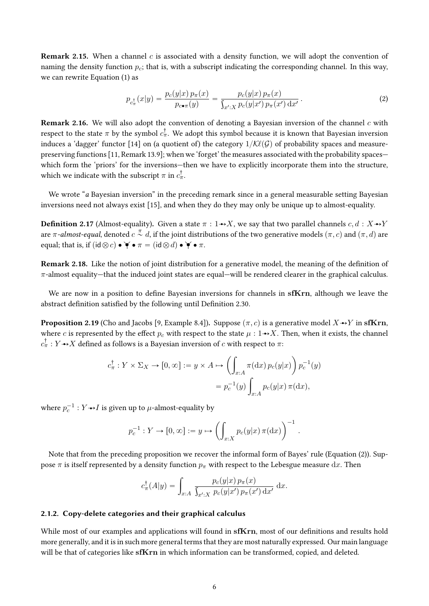**Remark 2.15.** When a channel c is associated with a density function, we will adopt the convention of naming the density function  $p_c$ ; that is, with a subscript indicating the corresponding channel. In this way, we can rewrite Equation (1) as

$$
p_{c_{\pi}^{\dagger}}(x|y) = \frac{p_c(y|x) \, p_{\pi}(x)}{p_{c \bullet \pi}(y)} = \frac{p_c(y|x) \, p_{\pi}(x)}{\int_{x':X} p_c(y|x') \, p_{\pi}(x') \, dx'}.
$$
 (2)

**Remark 2.16.** We will also adopt the convention of denoting a Bayesian inversion of the channel c with respect to the state  $\pi$  by the symbol  $c^\dagger_\pi.$  We adopt this symbol because it is known that Bayesian inversion induces a 'dagger' functor [14] on (a quotient of) the category  $1/K\ell(G)$  of probability spaces and measurepreserving functions [11, Remark 13.9]; when we 'forget' the measures associated with the probability spaces which form the 'priors' for the inversions—then we have to explicitly incorporate them into the structure, which we indicate with the subscript  $\pi$  in  $c_{\pi}^{\dagger}.$ 

We wrote "a Bayesian inversion" in the preceding remark since in a general measurable setting Bayesian inversions need not always exist [15], and when they do they may only be unique up to almost-equality.

**Definition 2.17** (Almost-equality). Given a state  $\pi : 1 \rightarrow X$ , we say that two parallel channels c, d :  $X \rightarrow Y$ are π-almost-equal, denoted  $c\stackrel{\pi}{\sim}d$ , if the joint distributions of the two generative models  $(\pi, c)$  and  $(\pi, d)$  are equal; that is, if  $(id \otimes c) \bullet \check{\blacklozenge} \bullet \pi = (id \otimes d) \bullet \check{\blacklozenge} \bullet \pi$ .

Remark 2.18. Like the notion of joint distribution for a generative model, the meaning of the definition of  $\pi$ -almost equality—that the induced joint states are equal—will be rendered clearer in the graphical calculus.

We are now in a position to define Bayesian inversions for channels in  $sfKrn$ , although we leave the abstract definition satisfied by the following until Definition 2.30.

**Proposition 2.19** (Cho and Jacobs [9, Example 8.4]). Suppose  $(\pi, c)$  is a generative model  $X \rightarrow Y$  in sfKrn, where c is represented by the effect  $p_c$  with respect to the state  $\mu : 1 \rightarrow X$ . Then, when it exists, the channel  $c_\pi^\dagger : Y{\rightarrow \!\!\rightarrow} X$  defined as follows is a Bayesian inversion of  $c$  with respect to  $\pi$ :

$$
c_{\pi}^{\dagger} : Y \times \Sigma_X \to [0, \infty] := y \times A \mapsto \left( \int_{x:A} \pi(\mathrm{d}x) \, p_c(y|x) \right) p_c^{-1}(y)
$$

$$
= p_c^{-1}(y) \int_{x:A} p_c(y|x) \, \pi(\mathrm{d}x),
$$

where  $p_c^{-1}:Y{\rightarrowtail} I$  is given up to  $\mu$ -almost-equality by

$$
p_c^{-1}: Y \to [0, \infty] := y \mapsto \left(\int_{x:X} p_c(y|x) \,\pi(\mathrm{d} x)\right)^{-1}
$$

.

Note that from the preceding proposition we recover the informal form of Bayes' rule (Equation (2)). Suppose  $\pi$  is itself represented by a density function  $p_{\pi}$  with respect to the Lebesgue measure dx. Then

$$
c_{\pi}^{\dagger}(A|y) = \int_{x:A} \frac{p_c(y|x) p_{\pi}(x)}{\int_{x':X} p_c(y|x') p_{\pi}(x') dx'} dx.
$$

#### 2.1.2. Copy-delete categories and their graphical calculus

While most of our examples and applications will found in sfKrn, most of our definitions and results hold more generally, and it is in such more general terms that they are most naturally expressed. Our main language will be that of categories like sfKrn in which information can be transformed, copied, and deleted.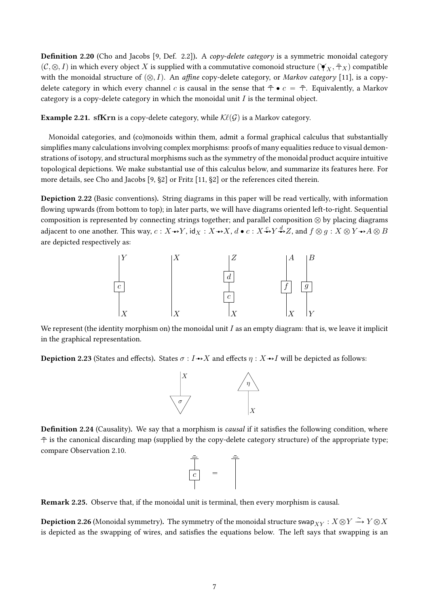**Definition 2.20** (Cho and Jacobs [9, Def. 2.2]). A *copy-delete category* is a symmetric monoidal category  $(\mathcal{C}, \otimes, I)$  in which every object X is supplied with a commutative comonoid structure  $(\check{\bm{Y}}_X, \bar{\bm{\tau}}_X)$  compatible with the monoidal structure of  $(Q, I)$ . An affine copy-delete category, or Markov category [11], is a copydelete category in which every channel c is causal in the sense that  $\bar{\tau} \bullet c = \bar{\tau}$ . Equivalently, a Markov category is a copy-delete category in which the monoidal unit  $I$  is the terminal object.

**Example 2.21.** sfKrn is a copy-delete category, while  $K\ell(G)$  is a Markov category.

Monoidal categories, and (co)monoids within them, admit a formal graphical calculus that substantially simplifies many calculations involving complex morphisms: proofs of many equalities reduce to visual demonstrations of isotopy, and structural morphisms such as the symmetry of the monoidal product acquire intuitive topological depictions. We make substantial use of this calculus below, and summarize its features here. For more details, see Cho and Jacobs [9, §2] or Fritz [11, §2] or the references cited therein.

Depiction 2.22 (Basic conventions). String diagrams in this paper will be read vertically, with information flowing upwards (from bottom to top); in later parts, we will have diagrams oriented left-to-right. Sequential composition is represented by connecting strings together; and parallel composition  $\otimes$  by placing diagrams adjacent to one another. This way,  $c:X \to Y$ , id $_X:X \to X$ ,  $d\bullet c:X \stackrel{c}{\to} Y \stackrel{d}{\to} Z$ , and  $f \otimes g:X \otimes Y \to A \otimes B$ are depicted respectively as:



We represent (the identity morphism on) the monoidal unit  $I$  as an empty diagram: that is, we leave it implicit in the graphical representation.

**Depiction 2.23** (States and effects). States  $\sigma : I \rightarrow X$  and effects  $\eta : X \rightarrow I$  will be depicted as follows:



Definition 2.24 (Causality). We say that a morphism is causal if it satisfies the following condition, where  $\bar{\bar{\tau}}$  is the canonical discarding map (supplied by the copy-delete category structure) of the appropriate type; compare Observation 2.10.

$$
\begin{array}{c}\n\frac{1}{\sqrt{2}} \\
\frac{1}{\sqrt{2}} \\
\frac{1}{\sqrt{2}}\n\end{array}
$$

Remark 2.25. Observe that, if the monoidal unit is terminal, then every morphism is causal.

 $\bf Depiction~2.26$  (Monoidal symmetry). The symmetry of the monoidal structure swap $_{XY}:X\!\otimes\! Y\stackrel{\sim}{\rightarrow} Y\!\otimes\! X$ is depicted as the swapping of wires, and satisfies the equations below. The left says that swapping is an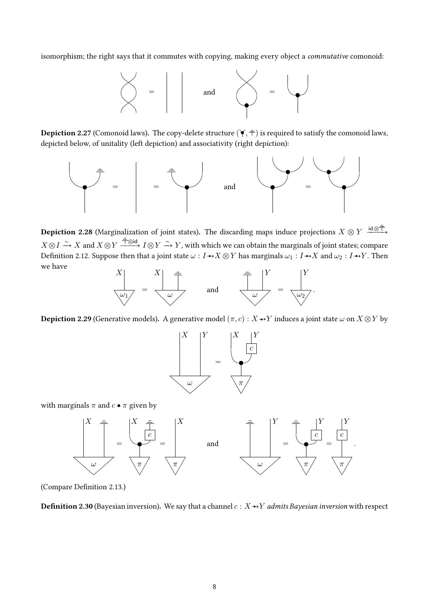isomorphism; the right says that it commutes with copying, making every object a *commutative* comonoid:



**Depiction 2.27** (Comonoid laws). The copy-delete structure  $(\check{\bullet}, \bar{\pm})$  is required to satisfy the comonoid laws, depicted below, of unitality (left depiction) and associativity (right depiction):



**Depiction 2.28** (Marginalization of joint states). The discarding maps induce projections  $X \otimes Y \xrightarrow{\text{id} \otimes \overline{T}}$  $X \otimes I \xrightarrow{\sim} X$  and  $X \otimes Y \xrightarrow{\dagger \otimes id} I \otimes Y \xrightarrow{\sim} Y$ , with which we can obtain the marginals of joint states; compare Definition 2.12. Suppose then that a joint state  $\omega : I \rightarrow X \otimes Y$  has marginals  $\omega_1 : I \rightarrow X$  and  $\omega_2 : I \rightarrow Y$ . Then we have



**Depiction 2.29** (Generative models). A generative model  $(\pi, c): X \rightarrow Y$  induces a joint state  $\omega$  on  $X \otimes Y$  by



with marginals  $\pi$  and  $c \bullet \pi$  given by



(Compare Definition 2.13.)

**Definition 2.30** (Bayesian inversion). We say that a channel  $c: X \rightarrow Y$  admits Bayesian inversion with respect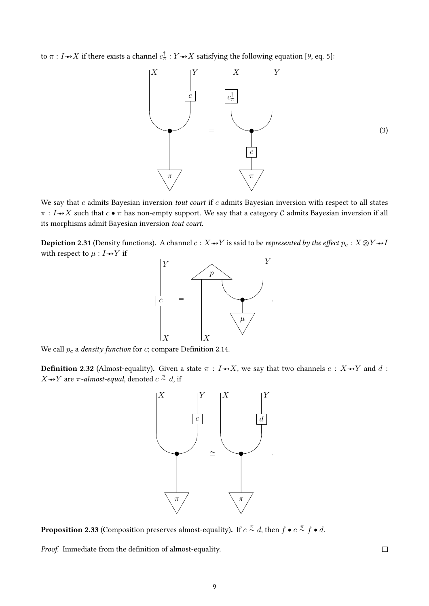to  $\pi : I \rightarrow X$  if there exists a channel  $c_{\pi}^{\dagger} : Y \rightarrow X$  satisfying the following equation [9, eq. 5]:



We say that  $c$  admits Bayesian inversion tout court if  $c$  admits Bayesian inversion with respect to all states  $\pi : I \rightarrow X$  such that  $c \bullet \pi$  has non-empty support. We say that a category C admits Bayesian inversion if all its morphisms admit Bayesian inversion tout court.

**Depiction 2.31** (Density functions). A channel  $c: X \rightarrow Y$  is said to be represented by the effect  $p_c: X \otimes Y \rightarrow I$ with respect to  $\mu : I \rightarrow Y$  if



We call  $p_c$  a *density function* for  $c$ ; compare Definition 2.14.

**Definition 2.32** (Almost-equality). Given a state  $\pi : I \rightarrow X$ , we say that two channels  $c : X \rightarrow Y$  and d :  $X{\rightarrow} Y$  are  $\pi$ -almost-equal, denoted  $c\stackrel{\pi}{\sim} d$ , if



**Proposition 2.33** (Composition preserves almost-equality). If  $c \overset{\pi}{\sim} d$ , then  $f \bullet c \overset{\pi}{\sim} f \bullet d$ .

Proof. Immediate from the definition of almost-equality.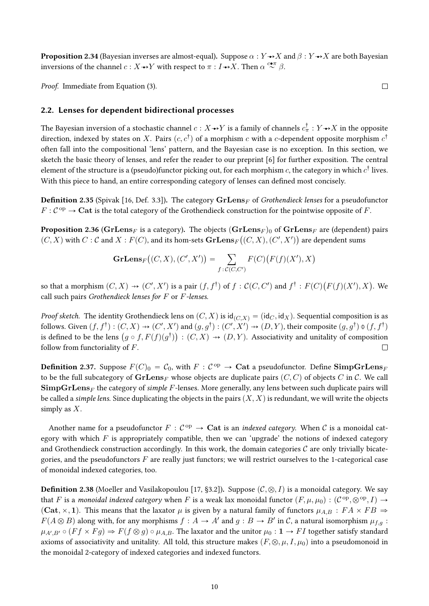**Proposition 2.34** (Bayesian inverses are almost-equal). Suppose  $\alpha : Y \rightarrow X$  and  $\beta : Y \rightarrow X$  are both Bayesian inversions of the channel  $c: X{\rightarrow} Y$  with respect to  $\pi: I{\rightarrow} X.$  Then  $\alpha\stackrel{c\bullet\pi}{\sim}\beta.$ 

Proof. Immediate from Equation (3).

## 2.2. Lenses for dependent bidirectional processes

The Bayesian inversion of a stochastic channel  $c: X{\to} Y$  is a family of channels  $c^\dagger_\pi: Y{\to} X$  in the opposite direction, indexed by states on  $X.$  Pairs  $(c, c^\dagger)$  of a morphism  $c$  with a  $c$ -dependent opposite morphism  $c^\dagger$ often fall into the compositional 'lens' pattern, and the Bayesian case is no exception. In this section, we sketch the basic theory of lenses, and refer the reader to our preprint [6] for further exposition. The central element of the structure is a (pseudo)functor picking out, for each morphism  $c$ , the category in which  $c^\dagger$  lives. With this piece to hand, an entire corresponding category of lenses can defined most concisely.

**Definition 2.35** (Spivak [16, Def. 3.3]). The category  $\mathbf{GrLens}_F$  of *Grothendieck lenses* for a pseudofunctor  $F: \mathcal{C}^{\text{op}} \to \mathbf{Cat}$  is the total category of the Grothendieck construction for the pointwise opposite of F.

 $\bf{Proposition~2.36}$  ( $\bf{GrLens}_F$  is a category). The objects  $(\bf{GrLens}_F)_0$  of  $\bf{GrLens}_F$  are (dependent) pairs  $(C, X)$  with  $C : \mathcal{C}$  and  $X : F(C)$ , and its hom-sets  $\mathbf{GrLens}_{F}\big((C, X), (C', X')\big)$  are dependent sums

$$
\mathbf{GrLens}_{F}\big((C,X),(C',X')\big)=\sum_{f:\mathcal{C}(C,C')}F(C)\big(F(f)(X'),X\big)
$$

so that a morphism  $(C, X) \nrightarrow (C', X')$  is a pair  $(f, f^{\dagger})$  of  $f: \mathcal{C}(C, C')$  and  $f^{\dagger}: F(C)$  $F(f)(X'), X$ ). We call such pairs Grothendieck lenses for  $F$  or  $F$ -lenses.

*Proof sketch.* The identity Grothendieck lens on  $(C, X)$  is  $\text{id}_{(C, X)} = (\text{id}_{C}, \text{id}_{X})$ . Sequential composition is as follows. Given  $(f, f^{\dagger}) : (C, X) \rightarrow (C', X')$  and  $(g, g^{\dagger}) : (C', X') \rightarrow (D, Y)$ , their composite  $(g, g^{\dagger}) \phi(f, f^{\dagger})$ follows. Given  $(f, f') : (C, X) \to (C', X')$  and  $(g, g') : (C', X') \to (D, Y)$ , their composite  $(g, g') \circ (f, f')$ <br>is defined to be the lens  $(g \circ f, F(f)(g^{\dagger})) : (C, X) \to (D, Y)$ . Associativity and unitality of composition follow from functoriality of F.  $\Box$ 

**Definition 2.37.** Suppose  $F(C)_0 = C_0$ , with  $F : C^{\text{op}} \to \textbf{Cat}$  a pseudofunctor. Define  $\textbf{SimpGrLens}_{F}$ to be the full subcategory of  $\mathbf{GrLens}_{F}$  whose objects are duplicate pairs  $(C, C)$  of objects C in C. We call  $\mathbf{SimpGrLens}_{F}$  the category of simple F-lenses. More generally, any lens between such duplicate pairs will be called a simple lens. Since duplicating the objects in the pairs  $(X, X)$  is redundant, we will write the objects simply as  $X$ .

Another name for a pseudofunctor  $F: \mathcal{C}^{\mathrm{op}} \to \mathbf{Cat}$  is an *indexed category*. When  $\mathcal C$  is a monoidal category with which  $F$  is appropriately compatible, then we can 'upgrade' the notions of indexed category and Grothendieck construction accordingly. In this work, the domain categories  $C$  are only trivially bicategories, and the pseudofunctors  $F$  are really just functors; we will restrict ourselves to the 1-categorical case of monoidal indexed categories, too.

**Definition 2.38** (Moeller and Vasilakopoulou [17, §3.2]). Suppose  $(C, \otimes, I)$  is a monoidal category. We say that  $F$  is a *monoidal indexed category* when  $F$  is a weak lax monoidal functor  $(F, \mu, \mu_0): ({\cal{C}}^{\rm op}, \otimes^{\rm op}, I) \to$ (Cat,  $\times$ , 1). This means that the laxator  $\mu$  is given by a natural family of functors  $\mu_{A,B} : FA \times FB \Rightarrow$  $F(A \otimes B)$  along with, for any morphisms  $f : A \to A'$  and  $g : B \to B'$  in C, a natural isomorphism  $\mu_{f,g}$ :  $\mu_{A',B'}\circ (Ff\times Fg)\Rightarrow F(f\otimes g)\circ \mu_{A,B}.$  The laxator and the unitor  $\mu_0: \textbf{1}\to FI$  together satisfy standard axioms of associativity and unitality. All told, this structure makes  $(F, \otimes, \mu, I, \mu_0)$  into a pseudomonoid in the monoidal 2-category of indexed categories and indexed functors.

 $\Box$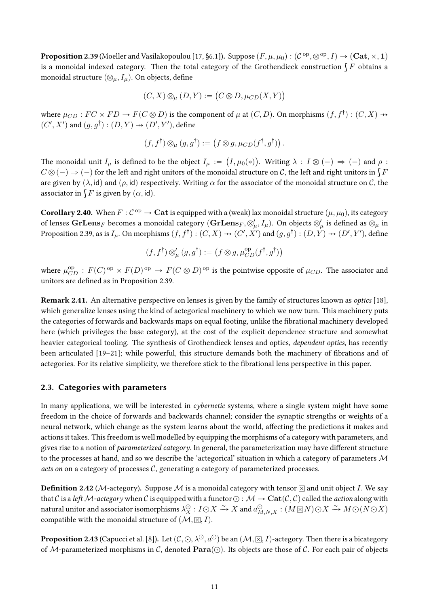**Proposition 2.39** (Moeller and Vasilakopoulou [17, §6.1]). Suppose  $(F, \mu, \mu_0): (\mathcal{C}^{\text{op}}, \otimes^{\text{op}}, I) \to (\mathbf{Cat}, \times, \mathbf{1})$ **Proposition 2.39** (Moeller and vasilakopoulou [17, §6.1]). Suppose  $(F, \mu, \mu_0) : (C^{\circ P}, \otimes^{\circ P}, I) \to (\mathbf{Cat}, \times, \mathbf{I})$  is a monoidal indexed category. Then the total category of the Grothendieck construction  $\int F$  obtains a monoidal structure  $(\otimes_{\mu}, I_{\mu})$ . On objects, define

$$
(C, X) \otimes_{\mu} (D, Y) := (C \otimes D, \mu_{CD}(X, Y))
$$

where  $\mu_{CD}: FC \times FD \to F(C \otimes D)$  is the component of  $\mu$  at  $(C,D)$ . On morphisms  $(f, f^{\dagger}): (C,X) \twoheadrightarrow$  $(C', X')$  and  $(g, g^{\dagger}) : (D, Y) \rightarrow (D', Y')$ , define

$$
(f, f^{\dagger}) \otimes_{\mu} (g, g^{\dagger}) := (f \otimes g, \mu_{CD}(f^{\dagger}, g^{\dagger})) .
$$

The monoidal unit  $I_\mu$  is defined to be the object  $I_\mu := \big( I, \mu_0(*) \big)$ . Writing  $\lambda : I \otimes (-) \Rightarrow (-)$  and  $\rho :$ The monoidal unit  $I_{\mu}$  is defined to be the object  $I_{\mu} := (I, \mu_0(*))$ . Writing  $\lambda : I \otimes (-) \Rightarrow (-)$  and  $\rho$   $C \otimes (-) \Rightarrow (-)$  for the left and right unitors of the monoidal structure on C, the left and right unitors in  $\int F$ are given by  $(\lambda, id)$  and  $(\rho, id)$  respectively. Writing  $\alpha$  for the associator of the monoidal structure on C, the are given by  $(\lambda, \text{id})$  and  $(\rho, \text{id})$  respossociator in  $\int F$  is given by  $(\alpha, \text{id})$ .

**Corollary 2.40.** When  $F: C^{op} \to \mathbf{Cat}$  is equipped with a (weak) lax monoidal structure  $(\mu, \mu_0)$ , its category of lenses  $\mathbf{GrLens}_F$  becomes a monoidal category  $(\mathbf{GrLens}_F, \otimes'_{\mu}, I_{\mu}).$  On objects  $\otimes'_{\mu}$  is defined as  $\otimes_{\mu}$  in Proposition 2.39, as is  $I_\mu.$  On morphisms  $(f, f^\dagger) : (C, X) \twoheadrightarrow (C', X')$  and  $(g, g^\dagger) : (D, Y) \twoheadrightarrow (D', Y'),$  define

$$
(f,f^\dagger)\otimes'_\mu (g,g^\dagger):=\left(f\otimes g,\mu_{CD}^{\mathrm{op}}(f^\dagger,g^\dagger)\right)
$$

where  $\mu_{CD}^{op}:F(C)^{op}\times F(D)^{op}\to F(C\otimes D)^{op}$  is the pointwise opposite of  $\mu_{CD}$ . The associator and unitors are defined as in Proposition 2.39.

Remark 2.41. An alternative perspective on lenses is given by the family of structures known as optics [18], which generalize lenses using the kind of actegorical machinery to which we now turn. This machinery puts the categories of forwards and backwards maps on equal footing, unlike the fibrational machinery developed here (which privileges the base category), at the cost of the explicit dependence structure and somewhat heavier categorical tooling. The synthesis of Grothendieck lenses and optics, dependent optics, has recently been articulated [19–21]; while powerful, this structure demands both the machinery of fibrations and of actegories. For its relative simplicity, we therefore stick to the fibrational lens perspective in this paper.

#### 2.3. Categories with parameters

In many applications, we will be interested in *cybernetic* systems, where a single system might have some freedom in the choice of forwards and backwards channel; consider the synaptic strengths or weights of a neural network, which change as the system learns about the world, affecting the predictions it makes and actions it takes. This freedom is well modelled by equipping the morphisms of a category with parameters, and gives rise to a notion of *parameterized category*. In general, the parameterization may have different structure to the processes at hand, and so we describe the 'actegorical' situation in which a category of parameters  $\mathcal M$ acts on on a category of processes  $C$ , generating a category of parameterized processes.

**Definition 2.42** (M-actegory). Suppose M is a monoidal category with tensor  $\boxtimes$  and unit object I. We say that C is a left M-actegory when C is equipped with a functor  $\odot : \mathcal{M} \to \textbf{Cat}(\mathcal{C}, \mathcal{C})$  called the action along with natural unitor and associator isomorphisms  $\lambda_X^\odot:I\odot X\stackrel{\sim}{\to}X$  and  $a_{M,N,X}^\odot:(M\boxtimes N)\odot X\stackrel{\sim}{\to}M\odot(N\odot X)$ compatible with the monoidal structure of  $(M, \boxtimes, I)$ .

**Proposition 2.43** (Capucci et al. [8]). Let  $(C, \odot, \lambda^{\odot}, a^{\odot})$  be an  $(\mathcal{M}, \boxtimes, I)$ -actegory. Then there is a bicategory. of M-parameterized morphisms in C, denoted  $\text{Para}(\odot)$ . Its objects are those of C. For each pair of objects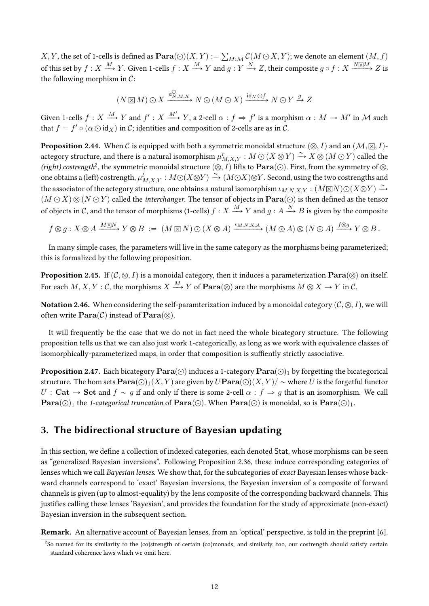X, Y, the set of 1-cells is defined as  $\textbf{Para}(\bigcirc)(X, Y) := \sum_{M : \mathcal{M}} C(M \bigcirc X, Y)$ ; we denote an element  $(M, f)$ of this set by  $f: X \xrightarrow{M} Y$ . Given 1-cells  $f: X \xrightarrow{M} Y$  and  $g: Y \xrightarrow{N} Z$ , their composite  $g \circ f: X \xrightarrow{N \boxtimes M} Z$  is the following morphism in  $C$ :

$$
(N \boxtimes M) \odot X \xrightarrow{a_{N,M,X}^{\odot}} N \odot (M \odot X) \xrightarrow{id_N \odot f} N \odot Y \xrightarrow{g} Z
$$

Given 1-cells  $f: X \xrightarrow{M} Y$  and  $f': X \xrightarrow{M'} Y$ , a 2-cell  $\alpha: f \Rightarrow f'$  is a morphism  $\alpha: M \to M'$  in M such that  $f = f' \circ (\alpha \odot id_X)$  in C; identities and composition of 2-cells are as in C.

**Proposition 2.44.** When C is equipped with both a symmetric monoidal structure  $(\otimes, I)$  and an  $(\mathcal{M}, \boxtimes, I)$ actegory structure, and there is a natural isomorphism  $\mu_{M,X,Y}^r : M \odot (X \otimes Y) \xrightarrow{\sim} X \otimes (M \odot Y)$  called the (right) costrength<sup>2</sup>, the symmetric monoidal structure  $( \otimes, I)$  lifts to  $\textbf{Para}(\odot)$ . First, from the symmetry of  $\otimes$ , one obtains a (left) costrength,  $\mu^l_{M,XY}: M\odot (X\otimes Y)\stackrel{\sim}{\to} (M\odot X)\otimes Y$ . Second, using the two costrengths and the associator of the actegory structure, one obtains a natural isomorphism  $\iota_{M,N,X,Y} : (M \boxtimes N) \odot (X \otimes Y) \xrightarrow{\sim}$  $(M \odot X) \otimes (N \odot Y)$  called the *interchanger*. The tensor of objects in  $\textbf{Para}(\odot)$  is then defined as the tensor of objects in C, and the tensor of morphisms (1-cells)  $f: X \xrightarrow{M} Y$  and  $g: A \xrightarrow{N} B$  is given by the composite

$$
f \otimes g : X \otimes A \xrightarrow{M \boxtimes N} Y \otimes B := (M \boxtimes N) \odot (X \otimes A) \xrightarrow{\iota_{M,N,X,A}} (M \odot A) \otimes (N \odot A) \xrightarrow{f \otimes g} Y \otimes B.
$$

In many simple cases, the parameters will live in the same category as the morphisms being parameterized; this is formalized by the following proposition.

**Proposition 2.45.** If  $(C, \otimes, I)$  is a monoidal category, then it induces a parameterization  $\textbf{Para}(\otimes)$  on itself. For each  $M, X, Y: \mathcal{C}$ , the morphisms  $X \xrightarrow{M} Y$  of  $\mathbf{Para}(\otimes)$  are the morphisms  $M \otimes X \to Y$  in  $\mathcal{C}$ .

**Notation 2.46.** When considering the self-paramterization induced by a monoidal category  $(C, \otimes, I)$ , we will often write  $\textbf{Para}(\mathcal{C})$  instead of  $\textbf{Para}(\otimes)$ .

It will frequently be the case that we do not in fact need the whole bicategory structure. The following proposition tells us that we can also just work 1-categorically, as long as we work with equivalence classes of isomorphically-parameterized maps, in order that composition is suffiently strictly associative.

**Proposition 2.47.** Each bicategory  $\textbf{Para}(\bigcirc)$  induces a 1-category  $\textbf{Para}(\bigcirc)$ <sub>1</sub> by forgetting the bicategorical structure. The hom sets  $\textbf{Para}(\bigcirc)_1(X, Y)$  are given by  $U\textbf{Para}(\bigcirc)(X, Y)/\sim$  where U is the forgetful functor  $U:$  Cat  $\rightarrow$  Set and  $f \sim g$  if and only if there is some 2-cell  $\alpha : f \Rightarrow g$  that is an isomorphism. We call  $\textbf{Para}(\bigcirc)_1$  the 1-categorical truncation of  $\textbf{Para}(\bigcirc)$ . When  $\textbf{Para}(\bigcirc)$  is monoidal, so is  $\textbf{Para}(\bigcirc)_1$ .

## 3. The bidirectional structure of Bayesian updating

In this section, we define a collection of indexed categories, each denoted Stat, whose morphisms can be seen as "generalized Bayesian inversions". Following Proposition 2.36, these induce corresponding categories of lenses which we call Bayesian lenses. We show that, for the subcategories of exact Bayesian lenses whose backward channels correspond to 'exact' Bayesian inversions, the Bayesian inversion of a composite of forward channels is given (up to almost-equality) by the lens composite of the corresponding backward channels. This justifies calling these lenses 'Bayesian', and provides the foundation for the study of approximate (non-exact) Bayesian inversion in the subsequent section.

**Remark.** An alternative account of Bayesian lenses, from an 'optical' perspective, is told in the preprint [6].

<sup>&</sup>lt;sup>2</sup>So named for its similarity to the (co)strength of certain (co)monads; and similarly, too, our costrength should satisfy certain standard coherence laws which we omit here.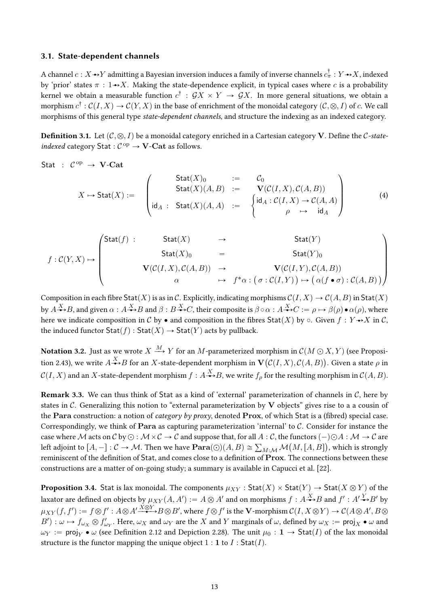#### 3.1. State-dependent channels

A channel  $c: X \rightarrow Y$  admitting a Bayesian inversion induces a family of inverse channels  $c^{\dagger}_\pi: Y \rightarrow X$ , indexed by 'prior' states  $\pi : 1 \rightarrow X$ . Making the state-dependence explicit, in typical cases where c is a probability kernel we obtain a measurable function  $c^{\dagger}$ :  $\mathcal{G}X \times Y \to \mathcal{G}X$ . In more general situations, we obtain a morphism  $c^{\dagger}$ :  $C(I, X) \to C(Y, X)$  in the base of enrichment of the monoidal category  $(C, \otimes, I)$  of c. We call morphisms of this general type *state-dependent channels*, and structure the indexing as an indexed category.

**Definition 3.1.** Let  $(C, \otimes, I)$  be a monoidal category enriched in a Cartesian category V. Define the C-stateindexed category Stat:  $C^{op} \rightarrow V\text{-}\mathbf{Cat}$  as follows.

$$
\mathsf{Stat} \ : \ \mathcal{C}^\mathrm{op} \ \to \ \mathbf{V}\text{-}\mathbf{Cat}
$$

$$
X \mapsto \text{Stat}(X) := \begin{pmatrix} \text{Stat}(X)_0 & := & \mathcal{C}_0 \\ \text{Stat}(X)(A, B) & := & \mathbf{V}(\mathcal{C}(I, X), \mathcal{C}(A, B)) \\ \text{id}_A & : \text{Stat}(X)(A, A) & := & \begin{cases} \text{id}_A : \mathcal{C}(I, X) \to \mathcal{C}(A, A) \\ \rho & \mapsto & \text{id}_A \end{cases} \end{pmatrix}
$$
(4)

$$
f: C(Y, X) \mapsto \begin{pmatrix} \text{Stat}(f) : & \text{Stat}(X) & \rightarrow & \text{Stat}(Y) \\ & \text{Stat}(X)_0 & = & \text{Stat}(Y)_0 \\ & \text{Vect}(I, X), C(A, B)) & \rightarrow & \text{V}(C(I, Y), C(A, B)) \\ & \alpha & \mapsto & f^* \alpha : (\sigma : C(I, Y)) \mapsto (\alpha(f \bullet \sigma) : C(A, B)) \end{pmatrix}
$$

Composition in each fibre Stat(X) is as in C. Explicitly, indicating morphisms  $C(I, X) \to C(A, B)$  in Stat(X) by  $A \rightarrow B$ , and given  $\alpha : A \rightarrow B$  and  $\beta : B \rightarrow C$ , their composite is  $\beta \circ \alpha : A \rightarrow C := \rho \mapsto \beta(\rho) \bullet \alpha(\rho)$ , where here we indicate composition in C by  $\bullet$  and composition in the fibres Stat(X) by  $\circ$ . Given  $f: Y \rightarrow X$  in C, the induced functor  $\text{Stat}(f)$ :  $\text{Stat}(X) \rightarrow \text{Stat}(Y)$  acts by pullback.

**Notation 3.2.** Just as we wrote  $X \xrightarrow{M} Y$  for an M-parameterized morphism in  $C(M \odot X, Y)$  (see Proposition 2.43), we write  $A \rightarrow B$  for an X-state-dependent morphism in  $\mathbf{V}(\mathcal{C}(I,X),\mathcal{C}(A,B))$ . Given a state  $\rho$  in  $\mathcal{C}(I, X)$  and an X-state-dependent morphism  $f: A \rightarrow B$ , we write  $f_{\rho}$  for the resulting morphism in  $\mathcal{C}(A, B)$ .

**Remark 3.3.** We can thus think of Stat as a kind of 'external' parameterization of channels in  $C$ , here by states in  $C$ . Generalizing this notion to "external parameterization by V objects" gives rise to a a cousin of the Para construction: a notion of *category by proxy*, denoted Prox, of which Stat is a (fibred) special case. Correspondingly, we think of Para as capturing parameterization 'internal' to  $C$ . Consider for instance the case where M acts on C by  $\odot$  :  $M \times C \rightarrow C$  and suppose that, for all  $A : C$ , the functors  $(-) \odot A : M \rightarrow C$  are left adjoint to  $[A, -]: \mathcal{C} \to \mathcal{M}$ . Then we have  $\textbf{Para}(\bigcirc)(A, B) \cong \sum_{M:\mathcal{M}} \mathcal{M}(M, [A, B])$ , which is strongly reminiscent of the definition of Stat, and comes close to a definition of Prox. The connections between these constructions are a matter of on-going study; a summary is available in Capucci et al. [22].

**Proposition 3.4.** Stat is lax monoidal. The components  $\mu_{XY}$ : Stat $(X) \times$  Stat $(Y) \rightarrow$  Stat $(X \otimes Y)$  of the laxator are defined on objects by  $\mu_{XY}(A, A') := A \otimes A'$  and on morphisms  $f : A \rightarrow B$  and  $f' : A' \rightarrow B'$  by  $\mu_{XY}(f,f'):=f\otimes f':A\otimes A'\xrightarrow{\dot{X}\otimes Y}B\otimes B',\ \text{where}\ f\otimes f'\ \text{is the }\mathbf{V}\text{-morphism }\mathcal{C}(I,X\otimes Y)\to \mathcal{C}(A\otimes A',B\otimes B')$  $B'$ :  $\omega \mapsto f_{\omega_X} \otimes f'_{\omega_Y}$ . Here,  $\omega_X$  and  $\omega_Y$  are the X and Y marginals of  $\omega$ , defined by  $\omega_X := \text{proj}_X \bullet \omega$  and  $\omega_Y := \text{proj}_Y \bullet \omega$  (see Definition 2.12 and Depiction 2.28). The unit  $\mu_0 : \mathbf{1} \to \text{Stat}(I)$  of the lax monoidal structure is the functor mapping the unique object  $1:1$  to  $I:$  Stat(*I*).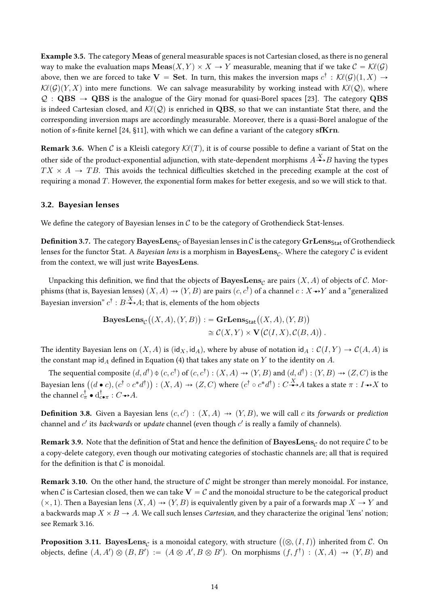Example 3.5. The category Meas of general measurable spaces is not Cartesian closed, as there is no general way to make the evaluation maps  $\text{Meas}(X, Y) \times X \to Y$  measurable, meaning that if we take  $\mathcal{C} = \mathcal{K}\ell(\mathcal{G})$ above, then we are forced to take  ${\bf V}\,=\,{\bf Set}$ . In turn, this makes the inversion maps  $c^\dagger\,:\,\mathcal{K}\ell(\mathcal{G})(1,X)\,\to\,$  $\mathcal{K}\ell(\mathcal{G})(Y, X)$  into mere functions. We can salvage measurability by working instead with  $\mathcal{K}\ell(\mathcal{Q})$ , where  $\mathcal{Q}: \mathbf{QBS} \to \mathbf{QBS}$  is the analogue of the Giry monad for quasi-Borel spaces [23]. The category  $\mathbf{QBS}$ is indeed Cartesian closed, and  $\mathcal{K}(Q)$  is enriched in QBS, so that we can instantiate Stat there, and the corresponding inversion maps are accordingly measurable. Moreover, there is a quasi-Borel analogue of the notion of s-finite kernel  $[24, §11]$ , with which we can define a variant of the category sfKrn.

**Remark 3.6.** When C is a Kleisli category  $K\ell(T)$ , it is of course possible to define a variant of Stat on the other side of the product-exponential adjunction, with state-dependent morphisms  $A\overset{X}{\bullet}B$  having the types  $TX \times A \rightarrow TB$ . This avoids the technical difficulties sketched in the preceding example at the cost of requiring a monad  $T$ . However, the exponential form makes for better exegesis, and so we will stick to that.

#### 3.2. Bayesian lenses

We define the category of Bayesian lenses in  $C$  to be the category of Grothendieck Stat-lenses.

**Definition 3.7.** The category BayesLens<sub>C</sub> of Bayesian lenses in C is the category GrLens<sub>Stat</sub> of Grothendieck lenses for the functor Stat. A *Bayesian lens* is a morphism in  $\bf BayesLens_{\mathcal{C}}$ . Where the category  $\mathcal C$  is evident from the context, we will just write BayesLens.

Unpacking this definition, we find that the objects of  $\mathbf{BayesLens}_{\mathcal{C}}$  are pairs  $(X, A)$  of objects of  $\mathcal{C}$ . Morphisms (that is, Bayesian lenses)  $(X, A) \nrightarrow (Y, B)$  are pairs  $(c, c^\dagger)$  of a channel  $c : X \nrightarrow Y$  and a "generalized Bayesian inversion"  $c^\dagger: B{\overset{X}{\twoheadrightarrow}} A;$  that is, elements of the hom objects

$$
\mathbf{BayesLens}_{\mathcal{C}}\big((X, A), (Y, B)\big) := \mathbf{GrLens}_{\mathsf{Stat}}\big((X, A), (Y, B)\big)
$$
  

$$
\cong \mathcal{C}(X, Y) \times \mathbf{V}\big(\mathcal{C}(I, X), \mathcal{C}(B, A)\big).
$$

The identity Bayesian lens on  $(X, A)$  is  $(id_X, id_A)$ , where by abuse of notation  $id_A : C(I, Y) \to C(A, A)$  is the constant map id<sub>A</sub> defined in Equation (4) that takes any state on Y to the identity on A.

The sequential composite  $(d, d^{\dagger}) \Phi(c, c^{\dagger})$  of  $(c, c^{\dagger}) : (X, A) \rightarrow (Y, B)$  and  $(d, d^{\dagger}) : (Y, B) \rightarrow (Z, C)$  is the The sequential composite  $(a, a)$ <br>Bayesian lens  $((d \bullet c), (c^{\dagger} \circ c^* d^{\dagger}))$  $\overline{ }$  $f: (X, A) \dashrightarrow (Z, C)$  where  $(c^{\dagger} \circ c^* d^{\dagger}) : C \rightarrow{X} A$  takes a state  $\pi : I \rightarrow X$  to the channel  $c_{\pi}^{\dagger} \bullet \mathrm{d}_{c \bullet \pi}^{\dagger} : C \rightarrow A$ .

**Definition 3.8.** Given a Bayesian lens  $(c, c') : (X, A) \rightarrow (Y, B)$ , we will call c its forwards or prediction channel and  $c^\prime$  its *backwards* or *update* channel (even though  $c^\prime$  is really a family of channels).

**Remark 3.9.** Note that the definition of Stat and hence the definition of BayesLens<sub>C</sub> do not require C to be a copy-delete category, even though our motivating categories of stochastic channels are; all that is required for the definition is that  $\mathcal C$  is monoidal.

**Remark 3.10.** On the other hand, the structure of  $C$  might be stronger than merely monoidal. For instance, when C is Cartesian closed, then we can take  $V = C$  and the monoidal structure to be the categorical product  $(x, 1)$ . Then a Bayesian lens  $(X, A) \rightarrow (Y, B)$  is equivalently given by a pair of a forwards map  $X \rightarrow Y$  and a backwards map  $X \times B \to A$ . We call such lenses *Cartesian*, and they characterize the original 'lens' notion; see Remark 3.16.

**Proposition 3.11.**  $\mathbf{BayesLens}_{\mathcal{C}}$  is a monoidal category, with structure  $\big((\otimes,(I,I)\big)$  inherited from  $\mathcal{C}.$  On objects, define  $(A, A') \otimes (B, B') := (A \otimes A', B \otimes B')$ . On morphisms  $(f, f^{\dagger}) : (X, A) \rightarrow (Y, B)$  and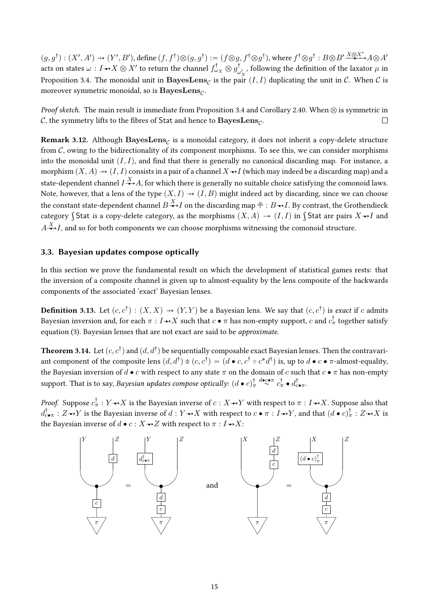$(g, g^{\dagger}) : (X', A') \rightarrow (Y', B')$ , define  $(f, f^{\dagger}) \otimes (g, g^{\dagger}) := (f \otimes g, f^{\dagger} \otimes g^{\dagger})$ , where  $f^{\dagger} \otimes g^{\dagger} : B \otimes B' \xrightarrow{X \otimes X'} A \otimes A'$ acts on states  $\omega : I \rightarrow X \otimes X'$  to return the channel  $f_{\omega_X}^{\dagger} \otimes g_{\omega_Y}^{\dagger}$ , following the definition of the laxator  $\mu$  in Proposition 3.4. The monoidal unit in BayesLens<sub>c</sub> is the pair  $(I, I)$  duplicating the unit in C. When C is moreover symmetric monoidal, so is BayesLens<sub>c</sub>.

*Proof sketch.* The main result is immediate from Proposition 3.4 and Corollary 2.40. When  $\otimes$  is symmetric in C, the symmetry lifts to the fibres of Stat and hence to BayesLens<sub> $c$ </sub>.  $\Box$ 

Remark 3.12. Although  $BayesLens<sub>C</sub>$  is a monoidal category, it does not inherit a copy-delete structure from  $C$ , owing to the bidirectionality of its component morphisms. To see this, we can consider morphisms into the monoidal unit  $(I, I)$ , and find that there is generally no canonical discarding map. For instance, a morphism  $(X, A) \rightarrow (I, I)$  consists in a pair of a channel  $X \rightarrow I$  (which may indeed be a discarding map) and a state-dependent channel  $I \xrightarrow{X} A$ , for which there is generally no suitable choice satisfying the comonoid laws. Note, however, that a lens of the type  $(X, I) \rightarrow (I, B)$  might indeed act by discarding, since we can choose the constant state-dependent channel  $B \stackrel{X}{\rightarrow} I$  on the discarding map  $\frac{1}{T} : B \rightarrow I$ . By contrast, the Grothendieck category Stat is a copy-delete category, as the morphisms  $(X, A) \to (I, I)$  in Stat are pairs  $X \rightarrow I$  and  $A \rightarrow I$ , and so for both components we can choose morphisms witnessing the comonoid structure.

#### 3.3. Bayesian updates compose optically

In this section we prove the fundamental result on which the development of statistical games rests: that the inversion of a composite channel is given up to almost-equality by the lens composite of the backwards components of the associated 'exact' Bayesian lenses.

**Definition 3.13.** Let  $(c, c^{\dagger})$ :  $(X, X) \rightarrow (Y, Y)$  be a Bayesian lens. We say that  $(c, c^{\dagger})$  is *exact* if c admits Bayesian inversion and, for each  $\pi : I \rightarrow X$  such that  $c \bullet \pi$  has non-empty support, c and  $c^{\dagger}_{\pi}$  together satisfy equation (3). Bayesian lenses that are not exact are said to be approximate.

**Theorem 3.14.** Let  $(c, c^{\dagger})$  and  $(d, d^{\dagger})$  be sequentially composable exact Bayesian lenses. Then the contravariant component of the composite lens  $(d, d^{\dagger}) \phi(c, c^{\dagger}) = (d \bullet c, c^{\dagger} \circ c^* d^{\dagger})$  is, up to  $d \bullet c \bullet \pi$ -almost-equality, the Bayesian inversion of  $d \bullet c$  with respect to any state  $\pi$  on the domain of c such that  $c \bullet \pi$  has non-empty support. That is to say, Bayesian updates compose optically:  $(d \bullet c)^{\dagger}_{\pi} \stackrel{d \bullet c \bullet \pi}{\sim} c^{\dagger}_{\pi} \bullet d^{\dagger}_{c \bullet \pi}$ .

*Proof.* Suppose  $c^{\dagger}_\pi : Y \rightarrow X$  is the Bayesian inverse of  $c : X \rightarrow Y$  with respect to  $\pi : I \rightarrow X$ . Suppose also that  $d_{\mathbf{C}\bullet\pi}^{\dagger}: Z \bullet Y$  is the Bayesian inverse of  $d: Y \bullet X$  with respect to  $c \bullet \pi : I \bullet Y$ , and that  $(d \bullet c)_{\pi}^{\dagger}: Z \bullet X$  is the Bayesian inverse of  $d \bullet c : X \rightarrow Z$  with respect to  $\pi : I \rightarrow X$ :

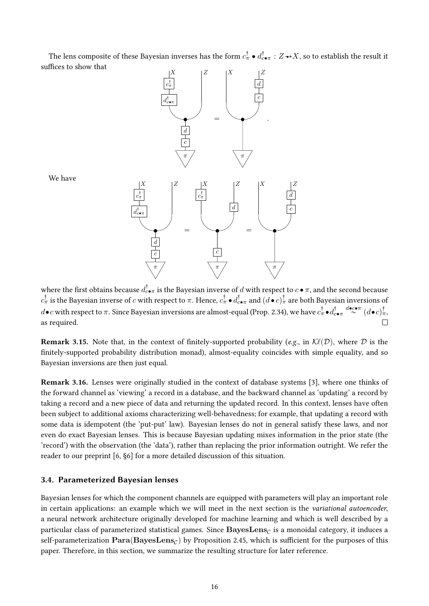The lens composite of these Bayesian inverses has the form  $c_\pi^\dag\bullet d_{c\bullet\pi}^\dag:Z\to X,$  so to establish the result it suffices to show that



We have

where the first obtains because  $d_{c\bullet\pi}^\dag$  is the Bayesian inverse of  $d$  with respect to  $c\bullet\pi,$  and the second because  $c^\dagger_\pi$  is the Bayesian inverse of  $c$  with respect to  $\pi.$  Hence,  $c^\dagger_\pi\bullet d^\dagger_{c\bullet\pi}$  and  $(d\bullet c)^\dagger_\pi$  are both Bayesian inversions of  $d$   $\bullet$   $c$  with respect to  $\pi.$  Since Bayesian inversions are almost-equal (Prop. 2.34), we have  $c^\dagger_\pi\bullet d^\dagger_{c\bullet\pi}$   $d^\dagger_{c\bullet\pi}$   $(d\bullet c)^\dagger_\pi,$ as required.  $\Box$ 

**Remark 3.15.** Note that, in the context of finitely-supported probability (e.g., in  $\mathcal{K}\ell(\mathcal{D})$ ), where D is the finitely-supported probability distribution monad), almost-equality coincides with simple equality, and so Bayesian inversions are then just equal.

Remark 3.16. Lenses were originally studied in the context of database systems [3], where one thinks of the forward channel as 'viewing' a record in a database, and the backward channel as 'updating' a record by taking a record and a new piece of data and returning the updated record. In this context, lenses have often been subject to additional axioms characterizing well-behavedness; for example, that updating a record with some data is idempotent (the 'put-put' law). Bayesian lenses do not in general satisfy these laws, and nor even do exact Bayesian lenses. This is because Bayesian updating mixes information in the prior state (the 'record') with the observation (the 'data'), rather than replacing the prior information outright. We refer the reader to our preprint [6, §6] for a more detailed discussion of this situation.

#### 3.4. Parameterized Bayesian lenses

Bayesian lenses for which the component channels are equipped with parameters will play an important role in certain applications: an example which we will meet in the next section is the variational autoencoder, a neural network architecture originally developed for machine learning and which is well described by a particular class of parameterized statistical games. Since  $\mathbf{BayesLens}_{\mathcal{C}}$  is a monoidal category, it induces a self-parameterization  $\mathbf{Para}(\mathbf{BayesLens}_{\mathcal{C}})$  by Proposition 2.45, which is sufficient for the purposes of this paper. Therefore, in this section, we summarize the resulting structure for later reference.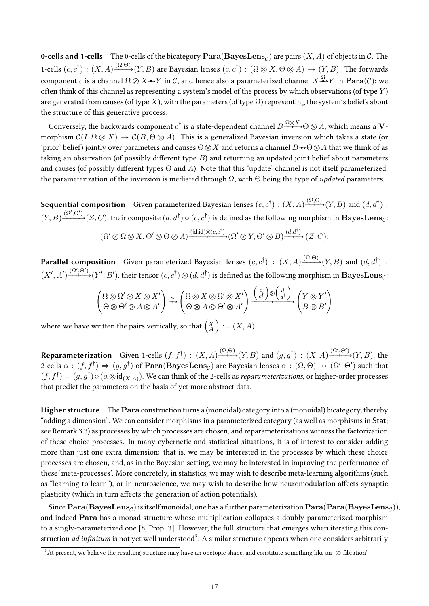**0-cells and 1-cells** The 0-cells of the bicategory  $\textbf{Para}(\textbf{BayesLens}_{\mathcal{C}})$  are pairs  $(X, A)$  of objects in  $\mathcal{C}$ . The 1-cells  $(c, c^{\dagger})$ :  $(X, A) \xrightarrow{(\Omega, \Theta)} (Y, B)$  are Bayesian lenses  $(c, c^{\dagger})$ :  $(\Omega \otimes X, \Theta \otimes A) \rightarrow (Y, B)$ . The forwards component c is a channel  $\Omega \otimes X \rightarrow Y$  in C, and hence also a parameterized channel  $X \rightarrow Y$  in  $\textbf{Para}(C)$ ; we often think of this channel as representing a system's model of the process by which observations (of type Y) are generated from causes (of type X), with the parameters (of type  $\Omega$ ) representing the system's beliefs about the structure of this generative process.

Conversely, the backwards component  $c^{\dagger}$  is a state-dependent channel  $B \xrightarrow{\Omega \otimes X} \Theta \otimes A$ , which means a Vmorphism  $\mathcal{C}(I, \Omega \otimes X) \to \mathcal{C}(B, \Theta \otimes A)$ . This is a generalized Bayesian inversion which takes a state (or 'prior' belief) jointly over parameters and causes  $\Theta \otimes X$  and returns a channel  $B \rightarrow \Theta \otimes A$  that we think of as taking an observation (of possibly different type  $B$ ) and returning an updated joint belief about parameters and causes (of possibly different types  $\Theta$  and A). Note that this 'update' channel is not itself parameterized: the parameterization of the inversion is mediated through  $\Omega$ , with  $\Theta$  being the type of *updated* parameters.

**Sequential composition** Given parameterized Bayesian lenses  $(c, c^{\dagger}) : (X, A) \xrightarrow{(\Omega, \Theta)} (Y, B)$  and  $(d, d^{\dagger})$ :  $(Y, B) \xrightarrow{(Y, \Theta')} (Z, C)$ , their composite  $(d, d^{\dagger}) \oint (c, c^{\dagger})$  is defined as the following morphism in **BayesLens**<sub>*c*</sub>:

$$
(\Omega' \otimes \Omega \otimes X, \Theta' \otimes \Theta \otimes A) \xrightarrow{(\mathrm{id}, \mathrm{id}) \otimes (c, c^{\dagger})} (\Omega' \otimes Y, \Theta' \otimes B) \xrightarrow{(d, d^{\dagger})} (Z, C)
$$

**Parallel composition** Given parameterized Bayesian lenses  $(c, c^{\dagger})$  :  $(X, A) \xrightarrow{(\Omega, \Theta)} (Y, B)$  and  $(d, d^{\dagger})$  :  $(X', A') \xrightarrow{(\Omega', \Theta')} (Y', B')$ , their tensor  $(c, c^{\dagger}) \otimes (d, d^{\dagger})$  is defined as the following morphism in **BayesLens**<sub> $c$ </sub>:

$$
\left(\begin{array}{c}\Omega\otimes\Omega'\otimes X\otimes X'\\ \Theta\otimes\Theta'\otimes A\otimes A'\end{array}\right)\stackrel{\sim}{\dashrightarrow}\left(\begin{array}{c}\Omega\otimes X\otimes\Omega'\otimes X'\\ \Theta\otimes A\otimes\Theta'\otimes A'\end{array}\right)\frac{\left(\begin{array}{c}c\\ c^{\dagger}\end{array}\right)\otimes\left(\begin{array}{c}d\\ d^{\dagger}\end{array}\right)}{\left(B\otimes B'\right)}
$$

where we have written the pairs vertically, so that  $\begin{pmatrix} X \\ A \end{pmatrix} := (X, A)$ .

**Reparameterization** Given 1-cells  $(f, f^{\dagger})$ :  $(X, A) \xrightarrow{( \Omega, \Theta)} (Y, B)$  and  $(g, g^{\dagger})$ :  $(X, A) \xrightarrow{(\Omega', \Theta')} (Y, B)$ , the 2-cells  $\alpha : (f, f^{\dagger}) \Rightarrow (g, g^{\dagger})$  of  $\textbf{Para}(\textbf{BayesLens}_{\mathcal{C}})$  are Bayesian lenses  $\alpha : (\Omega, \Theta) \rightarrow (\Omega', \Theta')$  such that  $(f, f^{\dagger}) = (g, g^{\dagger}) \Phi(\alpha \otimes id_{(X,A)})$ . We can think of the 2-cells as *reparameterizations*, or higher-order processes that predict the parameters on the basis of yet more abstract data.

Higher structure The Para construction turns a (monoidal) category into a (monoidal) bicategory, thereby "adding a dimension". We can consider morphisms in a parameterized category (as well as morphisms in Stat; see Remark 3.3) as processes by which processes are chosen, and reparameterizations witness the factorization of these choice processes. In many cybernetic and statistical situations, it is of interest to consider adding more than just one extra dimension: that is, we may be interested in the processes by which these choice processes are chosen, and, as in the Bayesian setting, we may be interested in improving the performance of these 'meta-processes'. More concretely, in statistics, we may wish to describe meta-learning algorithms (such as "learning to learn"), or in neuroscience, we may wish to describe how neuromodulation affects synaptic plasticity (which in turn affects the generation of action potentials).

Since  $\textbf{Para}(\textbf{BayesLens}_{\mathcal{C}})$  is itself monoidal, one has a further parameterization  $\textbf{Para}(\textbf{Para}(\textbf{BayesLens}_{\mathcal{C}})),$ and indeed Para has a monad structure whose multiplication collapses a doubly-parameterized morphism to a singly-parameterized one [8, Prop. 3]. However, the full structure that emerges when iterating this construction *ad infinitum* is not yet well understood<sup>3</sup>. A similar structure appears when one considers arbitrarily

<sup>&</sup>lt;sup>3</sup>At present, we believe the resulting structure may have an opetopic shape, and constitute something like an ' $\infty$ -fibration'.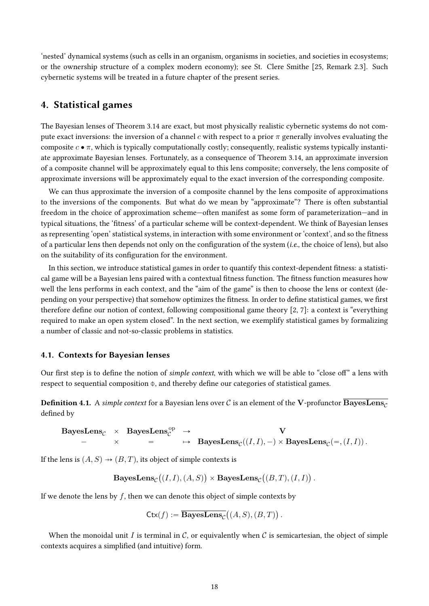'nested' dynamical systems (such as cells in an organism, organisms in societies, and societies in ecosystems; or the ownership structure of a complex modern economy); see St. Clere Smithe [25, Remark 2.3]. Such cybernetic systems will be treated in a future chapter of the present series.

## 4. Statistical games

The Bayesian lenses of Theorem 3.14 are exact, but most physically realistic cybernetic systems do not compute exact inversions: the inversion of a channel c with respect to a prior  $\pi$  generally involves evaluating the composite  $c \cdot \pi$ , which is typically computationally costly; consequently, realistic systems typically instantiate approximate Bayesian lenses. Fortunately, as a consequence of Theorem 3.14, an approximate inversion of a composite channel will be approximately equal to this lens composite; conversely, the lens composite of approximate inversions will be approximately equal to the exact inversion of the corresponding composite.

We can thus approximate the inversion of a composite channel by the lens composite of approximations to the inversions of the components. But what do we mean by "approximate"? There is often substantial freedom in the choice of approximation scheme—often manifest as some form of parameterization—and in typical situations, the 'fitness' of a particular scheme will be context-dependent. We think of Bayesian lenses as representing 'open' statistical systems, in interaction with some environment or 'context', and so the fitness of a particular lens then depends not only on the configuration of the system (*i.e.*, the choice of lens), but also on the suitability of its configuration for the environment.

In this section, we introduce statistical games in order to quantify this context-dependent fitness: a statistical game will be a Bayesian lens paired with a contextual fitness function. The fitness function measures how well the lens performs in each context, and the "aim of the game" is then to choose the lens or context (depending on your perspective) that somehow optimizes the fitness. In order to define statistical games, we first therefore define our notion of context, following compositional game theory  $[2, 7]$ : a context is "everything" required to make an open system closed". In the next section, we exemplify statistical games by formalizing a number of classic and not-so-classic problems in statistics.

#### 4.1. Contexts for Bayesian lenses

Our first step is to define the notion of *simple context*, with which we will be able to "close off" a lens with respect to sequential composition  $\phi$ , and thereby define our categories of statistical games.

**Definition 4.1.** A simple context for a Bayesian lens over C is an element of the V-profunctor  $\overline{\text{BayesLens}}_C$ defined by

$$
\begin{array}{cccc}\textbf{BayesLens}_{\mathcal{C}}&\times&\textbf{BayesLens}_{\mathcal{C}}^{\text{op}}&\to&{\bf V}\\ &-&\times&=&\mapsto&\textbf{BayesLens}_{\mathcal{C}}((I,I),-)\times\textbf{BayesLens}_{\mathcal{C}}(=,(I,I))\,. \end{array}
$$

If the lens is  $(A, S) \rightarrow (B, T)$ , its object of simple contexts is

 $\operatorname{BayesLens}_\mathcal{C}$  $(I, I), (A, S)$  $\times$  BayesLens $_{\mathcal{C}}$  $(B, T), (I, I)$ .

If we denote the lens by  $f$ , then we can denote this object of simple contexts by

$$
\mathsf{Ctx}(f) := \overline{\mathbf{BayesLens}_{\mathcal{C}}} \bigl( (A, S), (B, T) \bigr) .
$$

When the monoidal unit I is terminal in C, or equivalently when C is semicartesian, the object of simple contexts acquires a simplified (and intuitive) form.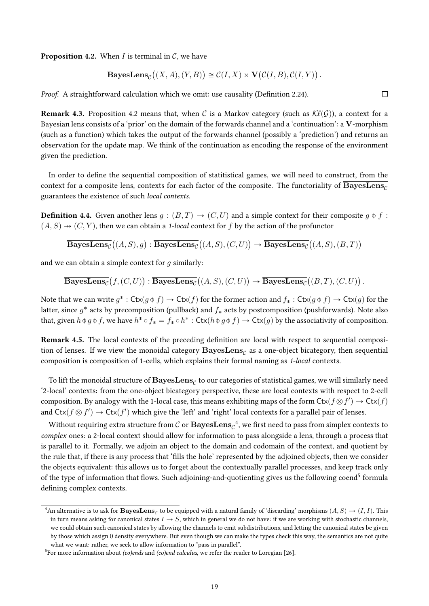**Proposition 4.2.** When I is terminal in C, we have

**BayesLens**<sub>C</sub>
$$
((X, A), (Y, B)) \cong C(I, X) \times V(C(I, B), C(I, Y))
$$
.

Proof. A straightforward calculation which we omit: use causality (Definition 2.24).

**Remark 4.3.** Proposition 4.2 means that, when C is a Markov category (such as  $\mathcal{K}\ell(\mathcal{G})$ ), a context for a Bayesian lens consists of a 'prior' on the domain of the forwards channel and a 'continuation': a V-morphism (such as a function) which takes the output of the forwards channel (possibly a 'prediction') and returns an observation for the update map. We think of the continuation as encoding the response of the environment given the prediction.

In order to define the sequential composition of statitistical games, we will need to construct, from the context for a composite lens, contexts for each factor of the composite. The functoriality of  $\overline{\text{BayesLens}_{c}}$ guarantees the existence of such local contexts.

**Definition 4.4.** Given another lens  $g : (B, T) \rightarrow (C, U)$  and a simple context for their composite  $g \phi f$ :  $(A, S) \rightarrow (C, Y)$ , then we can obtain a 1-local context for f by the action of the profunctor

 $\operatorname{BayesLens}_{\mathcal{C}}$  $\overline{\mathcal{B}}( (A, S), g) : \overline{\mathbf{BayesLens}}_{\mathcal{C}}$ `  $(A, S), (C, U)$  $\rightarrow$  BayesLens $_\mathcal{C}$ `  $(A, S), (B, T)$ 

and we can obtain a simple context for  $g$  similarly:

 $\operatorname{BayesLens}_{\mathcal{C}}$  $f,(C, U)$ :  $\mathrm{BayesLens}_{\mathcal{C}}$ `  $(A, S), (C, U)$  $\rightarrow$  BayesLens $_\mathcal{C}$ `  $(B, T), (C, U)$ .

Note that we can write  $g^*$ :  $\text{Ctx}(g \oplus f) \rightarrow \text{Ctx}(f)$  for the former action and  $f_*$ :  $\text{Ctx}(g \oplus f) \rightarrow \text{Ctx}(g)$  for the latter, since  $g^*$  acts by precomposition (pullback) and  $f_*$  acts by postcomposition (pushforwards). Note also that, given  $h \oplus g \oplus f$ , we have  $h^* \circ f_* = f_* \circ h^* : \mathsf{Ctx}(h \oplus g \oplus f) \to \mathsf{Ctx}(g)$  by the associativity of composition.

Remark 4.5. The local contexts of the preceding definition are local with respect to sequential composition of lenses. If we view the monoidal category  $\mathbf{BayesLens}_{\mathcal{C}}$  as a one-object bicategory, then sequential composition is composition of 1-cells, which explains their formal naming as 1-local contexts.

To lift the monoidal structure of  $\mathbf{BayesLens}_{\mathcal{C}}$  to our categories of statistical games, we will similarly need '2-local' contexts: from the one-object bicategory perspective, these are local contexts with respect to 2-cell composition. By analogy with the 1-local case, this means exhibiting maps of the form  $\mathsf{Ctx}(f \otimes f') \to \mathsf{Ctx}(f)$ and  $\mathsf{Ctx}(f \otimes f') \to \mathsf{Ctx}(f')$  which give the 'left' and 'right' local contexts for a parallel pair of lenses.

Without requiring extra structure from  $\mathcal C$  or  $\mathbf{BayesLens}_{\mathcal C}^{-4},$  we first need to pass from simplex contexts to complex ones: a 2-local context should allow for information to pass alongside a lens, through a process that is parallel to it. Formally, we adjoin an object to the domain and codomain of the context, and quotient by the rule that, if there is any process that 'fills the hole' represented by the adjoined objects, then we consider the objects equivalent: this allows us to forget about the contextually parallel processes, and keep track only of the type of information that flows. Such adioining-and-quotienting gives us the following coend<sup>5</sup> formula defining complex contexts.

```
\Box
```
<sup>&</sup>lt;sup>4</sup>An alternative is to ask for  $\bf BayesLens_{C}$  to be equipped with a natural family of 'discarding' morphisms  $(A, S) \rightarrow (I, I)$ . This in turn means asking for canonical states  $I \rightarrow S$ , which in general we do not have: if we are working with stochastic channels, we could obtain such canonical states by allowing the channels to emit subdistributions, and letting the canonical states be given by those which assign 0 density everywhere. But even though we can make the types check this way, the semantics are not quite what we want: rather, we seek to allow information to "pass in parallel".

<sup>&</sup>lt;sup>5</sup>For more information about (co)ends and (co)end calculus, we refer the reader to Loregian [26].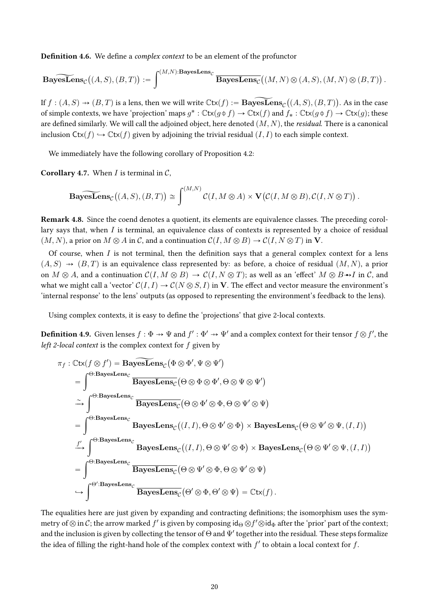**Definition 4.6.** We define a *complex context* to be an element of the profunctor

$$
\widetilde{\mathbf{BayesLens}}_{\mathcal{C}}\big((A, S), (B, T)\big) := \int^{(M, N): \mathbf{BayesLens}_{\mathcal{C}}}\overline{\mathbf{BayesLens}_{\mathcal{C}}}\big((M, N)\otimes (A, S), (M, N)\otimes (B, T)\big)\,.
$$

If  $f: (A, S) \to (B, T)$  is a lens, then we will write  $\mathbb C$ tx $(f) := {\bf BayesLens}_{\mathcal C}\big((A, S), (B, T)\big).$  As in the case of simple contexts, we have 'projection' maps  $g^*: \mathbb{C}tx(g \oplus f) \to \mathbb{C}tx(f)$  and  $f_* : \mathbb{C}tx(g \oplus f) \to \mathbb{C}tx(g)$ ; these are defined similarly. We will call the adjoined object, here denoted  $(M, N)$ , the *residual*. There is a canonical inclusion  $\text{Ctx}(f) \hookrightarrow \text{Ctx}(f)$  given by adjoining the trivial residual  $(I, I)$  to each simple context.

We immediately have the following corollary of Proposition 4.2:

**Corollary 4.7.** When *I* is terminal in  $C$ ,

**BayesLens**<sub>C</sub>
$$
((A, S), (B, T)) \approx \int^{(M,N)} C(I, M \otimes A) \times \mathbf{V}(C(I, M \otimes B), C(I, N \otimes T)).
$$

Remark 4.8. Since the coend denotes a quotient, its elements are equivalence classes. The preceding corollary says that, when I is terminal, an equivalence class of contexts is represented by a choice of residual  $(M, N)$ , a prior on  $M \otimes A$  in C, and a continuation  $C(I, M \otimes B) \to C(I, N \otimes T)$  in V.

Of course, when  $I$  is not terminal, then the definition says that a general complex context for a lens  $(A, S) \rightarrow (B, T)$  is an equivalence class represented by: as before, a choice of residual  $(M, N)$ , a prior on  $M \otimes A$ , and a continuation  $\mathcal{C}(I, M \otimes B) \to \mathcal{C}(I, N \otimes T)$ ; as well as an 'effect'  $M \otimes B \rightarrow I$  in C, and what we might call a 'vector'  $C(I, I) \to C(N \otimes S, I)$  in V. The effect and vector measure the environment's 'internal response' to the lens' outputs (as opposed to representing the environment's feedback to the lens).

Using complex contexts, it is easy to define the 'projections' that give 2-local contexts.

**Definition 4.9.** Given lenses  $f : \Phi \to \Psi$  and  $f' : \Phi' \to \Psi'$  and a complex context for their tensor  $f \otimes f'$ , the left 2-local context is the complex context for  $f$  given by

$$
\pi_f : \mathbb{C}tx(f \otimes f') = \mathbf{BayesLens}_{\mathcal{C}} (\Phi \otimes \Phi', \Psi \otimes \Psi')
$$
\n
$$
= \int_{\mathcal{C} \to \mathbf{BayesLens}_{\mathcal{C}}} \frac{\mathbf{BayesLens}_{\mathcal{C}}}{\mathbf{BayesLens}_{\mathcal{C}}} (\Theta \otimes \Phi \otimes \Phi', \Theta \otimes \Psi \otimes \Psi')
$$
\n
$$
\tilde{\to} \int_{\mathcal{C} \to \mathbf{BayesLens}_{\mathcal{C}}} \frac{\mathbf{BayesLens}_{\mathcal{C}}}{\mathbf{BayesLens}_{\mathcal{C}}} (\Theta \otimes \Phi' \otimes \Phi, \Theta \otimes \Psi' \otimes \Psi)
$$
\n
$$
= \int_{\mathcal{C} \to \mathbf{BayesLens}_{\mathcal{C}}} \frac{\mathbf{BayesLens}_{\mathcal{C}}}{\mathbf{BayesLens}_{\mathcal{C}}} (\mathcal{I}, \mathcal{I}, \Theta \otimes \Psi' \otimes \Phi) \times \mathbf{BayesLens}_{\mathcal{C}} (\Theta \otimes \Psi' \otimes \Psi, (\mathcal{I}, \mathcal{I}))
$$
\n
$$
= \int_{\Theta \to \mathbf{BayesLens}_{\mathcal{C}}} \frac{\mathbf{BayesLens}_{\mathcal{C}}}{\mathbf{BayesLens}_{\mathcal{C}}} (\Theta \otimes \Psi' \otimes \Phi, \Theta \otimes \Psi' \otimes \Psi)
$$
\n
$$
\tilde{\to} \int_{\Theta' : \mathbf{BayesLens}_{\mathcal{C}}} \frac{\mathbf{BayesLens}_{\mathcal{C}}}{\mathbf{BayesLens}_{\mathcal{C}}} (\Theta' \otimes \Phi, \Theta' \otimes \Psi) = \mathbb{C}tx(f).
$$

The equalities here are just given by expanding and contracting definitions; the isomorphism uses the symmetry of  $\otimes$  in  $\mathcal C$ ; the arrow marked  $f'$  is given by composing id $_\Theta\otimes f'\otimes$ id $_\Phi$  after the 'prior' part of the context; and the inclusion is given by collecting the tensor of  $\Theta$  and  $\Psi'$  together into the residual. These steps formalize the idea of filling the right-hand hole of the complex context with  $f'$  to obtain a local context for  $f$ .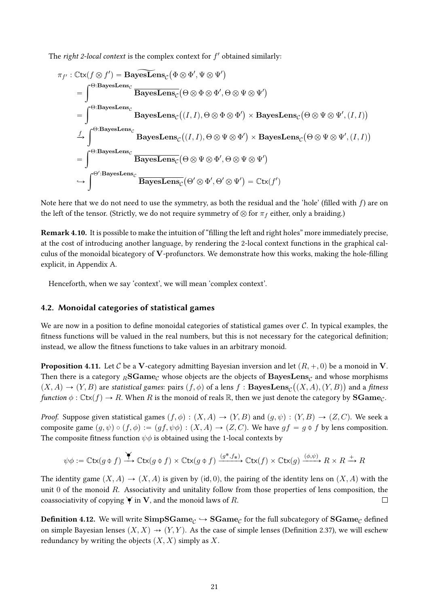The right 2-local context is the complex context for  $f'$  obtained similarly:

$$
\pi_{f'} : \mathbb{C}\mathsf{tx}(f \otimes f') = \mathbf{BayesLens}_{\mathcal{C}}(\Phi \otimes \Phi', \Psi \otimes \Psi')
$$
\n
$$
= \int^{\Theta: \mathbf{BayesLens}_{\mathcal{C}}}_{\Theta \otimes \Phi \otimes \Phi} \mathbf{BayesLens}_{\mathcal{C}}(\Theta \otimes \Phi \otimes \Phi', \Theta \otimes \Psi \otimes \Psi')
$$
\n
$$
= \int^{\Theta: \mathbf{BayesLens}_{\mathcal{C}}}_{\Theta \otimes \Phi \otimes \Phi} \mathbf{BayesLens}_{\mathcal{C}}((I, I), \Theta \otimes \Phi \otimes \Phi') \times \mathbf{BayesLens}_{\mathcal{C}}(\Theta \otimes \Psi \otimes \Psi', (I, I))
$$
\n
$$
= \int^{\Theta: \mathbf{BayesLens}_{\mathcal{C}}}_{\Theta \otimes \Phi \otimes \Phi \otimes \Phi} \mathbf{BayesLens}_{\mathcal{C}}(\Theta \otimes \Psi \otimes \Phi', \Theta \otimes \Psi \otimes \Psi')
$$
\n
$$
\Rightarrow \int^{\Theta': \mathbf{BayesLens}_{\mathcal{C}}}_{\Theta \otimes \Phi \otimes \Phi \otimes \Phi \otimes \Phi', \Theta \otimes \Psi \otimes \Psi') = \mathbb{C}\mathsf{tx}(f')
$$

Note here that we do not need to use the symmetry, as both the residual and the 'hole' (filled with  $f$ ) are on the left of the tensor. (Strictly, we do not require symmetry of  $\otimes$  for  $\pi_f$  either, only a braiding.)

Remark 4.10. It is possible to make the intuition of "filling the left and right holes" more immediately precise, at the cost of introducing another language, by rendering the 2-local context functions in the graphical calculus of the monoidal bicategory of V-profunctors. We demonstrate how this works, making the hole-filling explicit, in Appendix A.

Henceforth, when we say 'context', we will mean 'complex context'.

#### 4.2. Monoidal categories of statistical games

We are now in a position to define monoidal categories of statistical games over  $\mathcal{C}$ . In typical examples, the fitness functions will be valued in the real numbers, but this is not necessary for the categorical definition; instead, we allow the fitness functions to take values in an arbitrary monoid.

**Proposition 4.11.** Let C be a V-category admitting Bayesian inversion and let  $(R, +, 0)$  be a monoid in V. Then there is a category  $_R{\bf SGame}_C$  whose objects are the objects of  ${\bf BayesLens}_C$  and whose morphisms  $(X, A) \to (Y, B)$  are statistical games: pairs  $(f, \phi)$  of a lens  $f :$  BayesLens $_{\mathcal{C}}((X, A), (Y, B))$  and a fitness function  $\phi : \mathbb{C}tx(f) \to R$ . When R is the monoid of reals R, then we just denote the category by **SGame**<sub>C</sub>.

*Proof.* Suppose given statistical games  $(f, \phi) : (X, A) \to (Y, B)$  and  $(g, \psi) : (Y, B) \to (Z, C)$ . We seek a composite game  $(g, \psi) \circ (f, \phi) := (gf, \psi \phi) : (X, A) \to (Z, C)$ . We have  $gf = g \phi f$  by lens composition. The composite fitness function  $\psi \phi$  is obtained using the 1-local contexts by

$$
\psi \phi := \mathbb{C} \mathsf{tx}(g \uplus f) \xrightarrow{\blacktriangleright} \mathbb{C} \mathsf{tx}(g \uplus f) \times \mathbb{C} \mathsf{tx}(g \uplus f) \xrightarrow{(g^*, f_*)} \mathbb{C} \mathsf{tx}(f) \times \mathbb{C} \mathsf{tx}(g) \xrightarrow{(\phi, \psi)} R \times R \xrightarrow{+} R
$$

The identity game  $(X, A) \to (X, A)$  is given by (id, 0), the pairing of the identity lens on  $(X, A)$  with the unit  $0$  of the monoid  $R$ . Associativity and unitality follow from those properties of lens composition, the coassociativity of copying  $\check{\mathbf{y}}$  in **V**, and the monoid laws of R.  $\Box$ 

 $\bf{Definition 4.12.}$  We will write  $\bf{Simple_{C}} \hookrightarrow \bf{SGame_{C}}$  for the full subcategory of  $\bf{SGame_{C}}$  defined on simple Bayesian lenses  $(X, X) \rightarrow (Y, Y)$ . As the case of simple lenses (Definition 2.37), we will eschew redundancy by writing the objects  $(X, X)$  simply as X.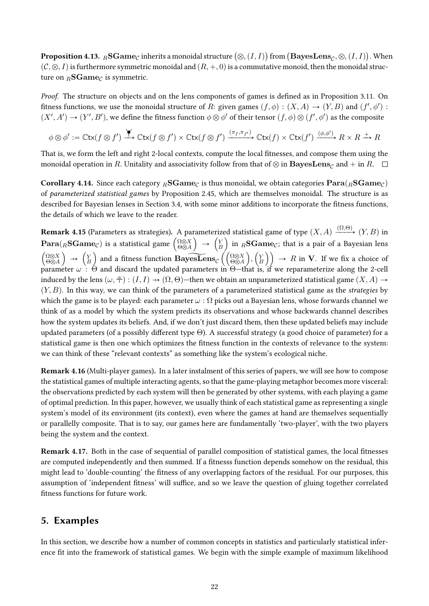**Proposition 4.13.**  $_R$ **SGame**<sub>C</sub> inherits a monoidal structure  $(\otimes, (I, I))$  from  $(\mathbf{BayesLens}_{C}, \otimes, (I, I))$ . When  $(C, \otimes, I)$  is furthermore symmetric monoidal and  $(R, +, 0)$  is a commutative monoid, then the monoidal structure on  $_B\text{SGame}_C$  is symmetric.

*Proof.* The structure on objects and on the lens components of games is defined as in Proposition 3.11. On fitness functions, we use the monoidal structure of R: given games  $(f, \phi) : (X, A) \to (Y, B)$  and  $(f', \phi')$ :  $(X', A') \to (Y', B')$ , we define the fitness function  $\phi \otimes \phi'$  of their tensor  $(f, \phi) \otimes (f', \phi')$  as the composite

$$
\phi \otimes \phi' := \mathbb{C} \mathsf{tx}(f \otimes f') \xrightarrow{\blacktriangleright} \mathbb{C} \mathsf{tx}(f \otimes f') \times \mathbb{C} \mathsf{tx}(f \otimes f') \xrightarrow{(\pi_f, \pi_{f'})} \mathbb{C} \mathsf{tx}(f) \times \mathbb{C} \mathsf{tx}(f') \xrightarrow{(\phi, \phi')} R \times R \xrightarrow{+} R
$$

That is, we form the left and right 2-local contexts, compute the local fitnesses, and compose them using the monoidal operation in R. Unitality and associativity follow from that of  $\otimes$  in  $\textbf{BayesLens}_{\mathcal{C}}$  and + in R.  $\Box$ 

**Corollary 4.14.** Since each category <sub>*R*</sub>SGame<sub>C</sub> is thus monoidal, we obtain categories  $\textbf{Para}$ ( $_R$ SGame<sub>C</sub>) of parameterized statistical games by Proposition 2.45, which are themselves monoidal. The structure is as described for Bayesian lenses in Section 3.4, with some minor additions to incorporate the fitness functions, the details of which we leave to the reader.

**Remark 4.15** (Parameters as strategies). A parameterized statistical game of type  $(X, A) \xrightarrow{(\Omega, \Theta)} (Y, B)$  in **Para**( $_R$ **SGame**<sub>C</sub>) is a statistical game  $\begin{pmatrix} \frac{\Omega \otimes X}{\Theta \otimes A} \end{pmatrix} \rightarrow \begin{pmatrix} Y \\ B \end{pmatrix}$  in  $_R$ **SGame**<sub>C</sub>; that is a pair of a Bayesian lens  $\begin{pmatrix} \frac{\Omega \otimes X}{\Theta \otimes A} \end{pmatrix} \rightarrow \begin{pmatrix} Y \\ B \end{pmatrix}$  and a fitness function **Bayes** induced by the lens  $(\omega, \bar{\bar{\tau}}) : (I, I) \to (\Omega, \Theta)$ —then we obtain an unparameterized statistical game  $(X, A) \to$  $(Y, B)$ . In this way, we can think of the parameters of a parameterized statistical game as the *strategies* by which the game is to be played: each parameter  $\omega$ :  $\Omega$  picks out a Bayesian lens, whose forwards channel we think of as a model by which the system predicts its observations and whose backwards channel describes how the system updates its beliefs. And, if we don't just discard them, then these updated beliefs may include updated parameters (of a possibly different type  $\Theta$ ). A successful strategy (a good choice of parameter) for a statistical game is then one which optimizes the fitness function in the contexts of relevance to the system: we can think of these "relevant contexts" as something like the system's ecological niche.

**Remark 4.16** (Multi-player games). In a later instalment of this series of papers, we will see how to compose the statistical games of multiple interacting agents, so that the game-playing metaphor becomes more visceral: the observations predicted by each system will then be generated by other systems, with each playing a game of optimal prediction. In this paper, however, we usually think of each statistical game as representing a single system's model of its environment (its context), even where the games at hand are themselves sequentially or parallelly composite. That is to say, our games here are fundamentally 'two-player', with the two players being the system and the context.

**Remark 4.17.** Both in the case of sequential of parallel composition of statistical games, the local fitnesses are computed independently and then summed. If a fitnesss function depends somehow on the residual, this might lead to 'double-counting' the fitness of any overlapping factors of the residual. For our purposes, this assumption of 'independent fitness' will suffice, and so we leave the question of gluing together correlated fitness functions for future work.

## 5. Examples

In this section, we describe how a number of common concepts in statistics and particularly statistical inference fit into the framework of statistical games. We begin with the simple example of maximum likelihood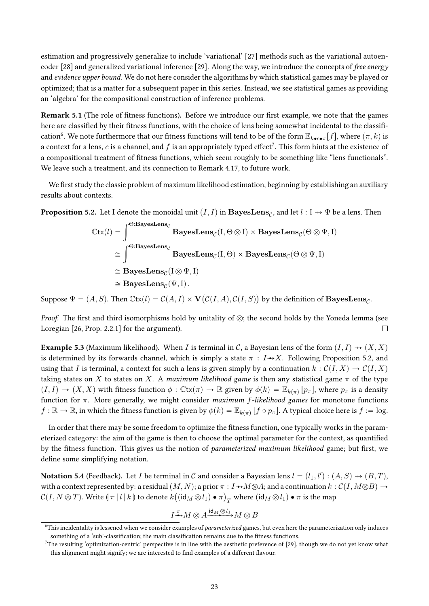estimation and progressively generalize to include 'variational' [27] methods such as the variational autoencoder [28] and generalized variational inference [29]. Along the way, we introduce the concepts of free energy and evidence upper bound. We do not here consider the algorithms by which statistical games may be played or optimized; that is a matter for a subsequent paper in this series. Instead, we see statistical games as providing an 'algebra' for the compositional construction of inference problems.

Remark 5.1 (The role of fitness functions). Before we introduce our first example, we note that the games here are classified by their fitness functions, with the choice of lens being somewhat incidental to the classification $^6$ . We note furthermore that our fitness functions will tend to be of the form  $\mathbb{E}_{k\bullet c\bullet\pi}[f]$ , where  $(\pi, k)$  is a context for a lens,  $c$  is a channel, and  $f$  is an appropriately typed effect<sup>7</sup>. This form hints at the existence of a compositional treatment of fitness functions, which seem roughly to be something like "lens functionals". We leave such a treatment, and its connection to Remark 4.17, to future work.

We first study the classic problem of maximum likelihood estimation, beginning by establishing an auxiliary results about contexts.

**Proposition 5.2.** Let I denote the monoidal unit  $(I,I)$  in  $\mathbf{BayesLens}_{\mathcal{C}}$ , and let  $l: I \rightarrow \Psi$  be a lens. Then

$$
\begin{aligned} \mathbb{C}\mathsf{tx}(l) & = \int^{\Theta:\mathbf{BayesLens}_{\mathcal{C}}}\mathbf{BayesLens}_{\mathcal{C}}(\mathbf{I},\Theta\otimes\mathbf{I})\times\mathbf{BayesLens}_{\mathcal{C}}(\Theta\otimes\Psi,\mathbf{I})\\ & \cong \int^{\Theta:\mathbf{BayesLens}_{\mathcal{C}}}\mathbf{BayesLens}_{\mathcal{C}}(\mathbf{I},\Theta)\times\mathbf{BayesLens}_{\mathcal{C}}(\Theta\otimes\Psi,\mathbf{I})\\ & \cong\mathbf{BayesLens}_{\mathcal{C}}(\mathbf{I}\otimes\Psi,\mathbf{I})\\ & \cong\mathbf{BayesLens}_{\mathcal{C}}(\Psi,\mathbf{I})\,. \end{aligned}
$$

Suppose  $\Psi = (A, S)$ . Then  $\mathrm{Ctx}(l) = \mathcal{C}(A, I) \times \mathbf{V}(\mathcal{C}(I, A), \mathcal{C}(I, S))$  by the definition of  $\mathbf{BayesLens}_{\mathcal{C}}$ .

Proof. The first and third isomorphisms hold by unitality of  $\otimes$ ; the second holds by the Yoneda lemma (see Loregian [26, Prop. 2.2.1] for the argument).  $\Box$ 

**Example 5.3** (Maximum likelihood). When I is terminal in C, a Bayesian lens of the form  $(I, I) \rightarrow (X, X)$ is determined by its forwards channel, which is simply a state  $\pi : I \rightarrow X$ . Following Proposition 5.2, and using that I is terminal, a context for such a lens is given simply by a continuation  $k : \mathcal{C}(I, X) \to \mathcal{C}(I, X)$ taking states on X to states on X. A maximum likelihood game is then any statistical game  $\pi$  of the type  $(I, I) \to (X, X)$  with fitness function  $\phi : \mathbb{C}tx(\pi) \to \mathbb{R}$  given by  $\phi(k) = \mathbb{E}_{k(\pi)}[p_{\pi}]$ , where  $p_{\pi}$  is a density function for  $\pi$ . More generally, we might consider *maximum f-likelihood games* for monotone functions  $f:\mathbb{R}\to\mathbb{R}$ , in which the fitness function is given by  $\phi(k)=\mathbb{E}_{k(\pi)}\left[f\circ p_\pi\right]$ . A typical choice here is  $f:=\log p$ .

In order that there may be some freedom to optimize the fitness function, one typically works in the parameterized category: the aim of the game is then to choose the optimal parameter for the context, as quantified by the fitness function. This gives us the notion of parameterized maximum likelihood game; but first, we define some simplifying notation.

Notation 5.4 (Feedback). Let  $I$  be terminal in  $\mathcal C$  and consider a Bayesian lens  $l = (l_1, l'): (A, S) \to (B, T)$ , with a context represented by: a residual  $(M, N)$ ; a prior  $\pi : I \rightarrow M \otimes A$ ; and a continuation  $k : \mathcal{C}(I, M \otimes B) \rightarrow$  $\mathcal{C}(I,N\otimes T)$ . Write  $(\pi | l | k)$  to denote  $k((id_M\otimes l_1)\bullet\pi)_T$  where  $(id_M\otimes l_1)\bullet\pi$  is the map

$$
I^{\pi}_{\longrightarrow} M \otimes A \xrightarrow{\mathrm{id}_M \otimes l_1} M \otimes B
$$

 $6$ This incidentality is lessened when we consider examples of *parameterized* games, but even here the parameterization only induces something of a 'sub'-classification; the main classification remains due to the fitness functions.

<sup>&</sup>lt;sup>7</sup>The resulting 'optimization-centric' perspective is in line with the aesthetic preference of [29], though we do not yet know what this alignment might signify; we are interested to find examples of a different flavour.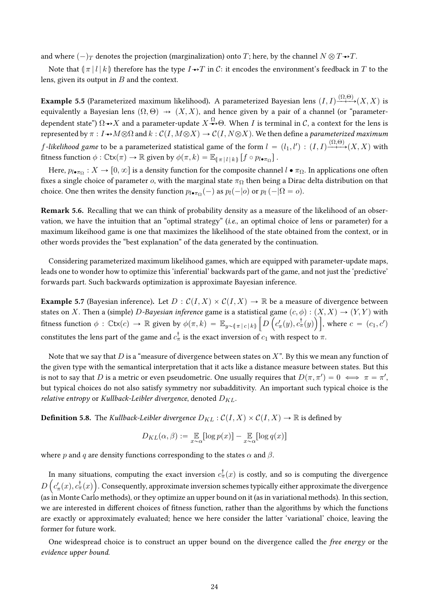and where  $(-)_T$  denotes the projection (marginalization) onto T; here, by the channel  $N \otimes T \rightarrow T$ .

Note that  $\|\pi\| l | k$  therefore has the type  $I \rightarrow T$  in C: it encodes the environment's feedback in T to the lens, given its output in  $B$  and the context.

**Example 5.5** (Parameterized maximum likelihood). A parameterized Bayesian lens  $(I,I) \xrightarrow{(\Omega,\Theta)} (X,X)$  is equivalently a Bayesian lens  $(\Omega, \Theta) \rightarrow (X, X)$ , and hence given by a pair of a channel (or "parameterdependent state")  $\Omega{\to}X$  and a parameter-update  $X{\overset \Omega\to} \Theta.$  When  $I$  is terminal in  $\mathcal C,$  a context for the lens is represented by  $\pi : I \rightarrow M \otimes \Omega$  and  $k : C(I, M \otimes X) \rightarrow C(I, N \otimes X)$ . We then define a parameterized maximum  $f$ -likelihood game to be a parameterized statistical game of the form  $l\,=\,(l_1,l')\,:\,(I,I)\!\stackrel{(\Omega,\Theta)}{\longrightarrow}\!\!\!\!\!\rightarrow$   $(X,X)$  with fitness function  $\phi : \mathbb{C}\mathsf{tx}(\pi) \to \mathbb{R}$  given by  $\phi(\pi, k) = \mathbb{E}_{\llbracket \pi | l | k \rrbracket} \left[ f \circ p_{l \bullet \pi_{\Omega}} \right]$ .

Here,  $p_{l\bullet\pi\Omega}:X\to[0,\infty]$  is a density function for the composite channel  $l\bullet\pi\Omega$ . In applications one often fixes a single choice of parameter  $o$ , with the marginal state  $\pi_{\Omega}$  then being a Dirac delta distribution on that choice. One then writes the density function  $p_{l\bullet\pi_{\Omega}}(-)$  as  $p_l(-|o)$  or  $p_l(-|\Omega = o)$ .

Remark 5.6. Recalling that we can think of probability density as a measure of the likelihood of an observation, we have the intuition that an "optimal strategy" (i.e., an optimal choice of lens or parameter) for a maximum likeihood game is one that maximizes the likelihood of the state obtained from the context, or in other words provides the "best explanation" of the data generated by the continuation.

Considering parameterized maximum likelihood games, which are equipped with parameter-update maps, leads one to wonder how to optimize this 'inferential' backwards part of the game, and not just the 'predictive' forwards part. Such backwards optimization is approximate Bayesian inference.

**Example 5.7** (Bayesian inference). Let  $D : C(I, X) \times C(I, X) \rightarrow \mathbb{R}$  be a measure of divergence between states on X. Then a (simple) D-Bayesian inference game is a statistical game  $(c, \phi) : (X, X) \rightarrow (Y, Y)$  with fitness function  $\phi$  :  $\mathbb{C}$ tx $(c) \to \mathbb{R}$  given by  $\phi(\pi, k) = \mathbb{E}_{y \sim (\pi | c | k)} \left[ D\left(c'_{\pi}(y), c^{\dagger}_{\pi}(y)\right) \right]$ , where  $c = (c_1, c')$ constitutes the lens part of the game and  $c_\pi^\dagger$  is the exact inversion of  $c_1$  with respect to  $\pi.$ 

Note that we say that D is a "measure of divergence between states on  $X$ ". By this we mean any function of the given type with the semantical interpretation that it acts like a distance measure between states. But this is not to say that  $D$  is a metric or even pseudometric. One usually requires that  $D(\pi, \pi') = 0 \iff \pi = \pi',$ but typical choices do not also satisfy symmetry nor subadditivity. An important such typical choice is the relative entropy or Kullback-Leibler divergence, denoted  $D_{KL}$ .

**Definition 5.8.** The Kullback-Leibler divergence  $D_{KL}$ :  $C(I, X) \times C(I, X) \rightarrow \mathbb{R}$  is defined by

$$
D_{KL}(\alpha, \beta) := \mathop{\mathbb{E}}_{x \sim \alpha} [\log p(x)] - \mathop{\mathbb{E}}_{x \sim \alpha} [\log q(x)]
$$

where p and q are density functions corresponding to the states  $\alpha$  and  $\beta$ .

In many situations, computing the exact inversion  $c^\dagger_\pi(x)$  is costly, and so is computing the divergence  $D\left(c_\pi'(x),c_\pi^\dagger(x)\right)$ . Consequently, approximate inversion schemes typically either approximate the divergence (as in Monte Carlo methods), or they optimize an upper bound on it (as in variational methods). In this section, we are interested in different choices of fitness function, rather than the algorithms by which the functions are exactly or approximately evaluated; hence we here consider the latter 'variational' choice, leaving the former for future work.

One widespread choice is to construct an upper bound on the divergence called the free energy or the evidence upper bound.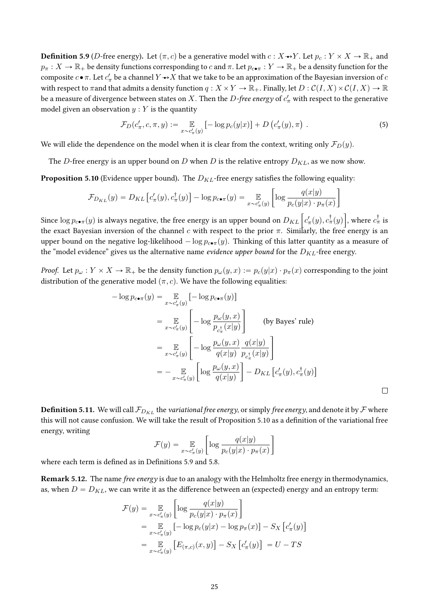**Definition 5.9** (*D*-free energy). Let  $(\pi, c)$  be a generative model with  $c : X \rightarrow Y$ . Let  $p_c : Y \times X \rightarrow \mathbb{R}_+$  and  $p_\pi : X \to \mathbb{R}_+$  be density functions corresponding to c and  $\pi$ . Let  $p_{c \bullet \pi} : Y \to \mathbb{R}_+$  be a density function for the composite  $c \bullet \pi$ . Let  $c'_\pi$  be a channel  $Y \to X$  that we take to be an approximation of the Bayesian inversion of  $c$ with respect to  $\pi$  and that admits a density function  $q: X \times Y \to \mathbb{R}_+$ . Finally, let  $D: C(I, X) \times C(I, X) \to \mathbb{R}$ be a measure of divergence between states on  $X.$  Then the  $D$ *-free energy* of  $c_\pi'$  with respect to the generative model given an observation  $y:Y$  is the quantity

$$
\mathcal{F}_D(c'_{\pi}, c, \pi, y) := \mathop{\mathbb{E}}_{x \sim c'_{\pi}(y)} \left[ -\log p_c(y|x) \right] + D\left(c'_{\pi}(y), \pi\right) . \tag{5}
$$

ı

 $\Box$ 

We will elide the dependence on the model when it is clear from the context, writing only  $\mathcal{F}_D(y)$ .

The D-free energy is an upper bound on  $D$  when  $D$  is the relative entropy  $D_{KL}$ , as we now show.

**Proposition 5.10** (Evidence upper bound). The  $D_{KL}$ -free energy satisfies the following equality:

$$
\mathcal{F}_{D_{KL}}(y) = D_{KL} \left[ c'_{\pi}(y), c^{\dagger}_{\pi}(y) \right] - \log p_{c \bullet \pi}(y) = \mathop{\mathbb{E}}_{x \sim c'_{\pi}(y)} \left[ \log \frac{q(x|y)}{p_c(y|x) \cdot p_{\pi}(x)} \right]
$$

Since  $\log p_{c \bullet \pi}(y)$  is always negative, the free energy is an upper bound on  $D_{KL}\left[c'_{\pi}(y), c^{\dagger}_{\pi}(y)\right]$ , where  $c^{\dagger}_{\pi}$  is the exact Bayesian inversion of the channel c with respect to the prior  $\pi$ . Similarly, the free energy is an upper bound on the negative log-likelihood  $-\log p_{c\bullet\pi}(y)$ . Thinking of this latter quantity as a measure of the "model evidence" gives us the alternative name evidence upper bound for the  $D_{KL}$ -free energy.

*Proof.* Let  $p_\omega : Y \times X \to \mathbb{R}_+$  be the density function  $p_\omega(y, x) := p_c(y|x) \cdot p_\pi(x)$  corresponding to the joint distribution of the generative model  $(\pi, c)$ . We have the following equalities:

$$
-\log p_{c \bullet \pi}(y) = \mathop{\mathbb{E}}_{x \sim c'_{\pi}(y)} [-\log p_{c \bullet \pi}(y)]
$$
  
\n
$$
= \mathop{\mathbb{E}}_{x \sim c'_{\pi}(y)} \left[ -\log \frac{p_{\omega}(y, x)}{p_{c_{\pi}^{\dagger}}(x|y)} \right] \qquad \text{(by Bayes' rule)}
$$
  
\n
$$
= \mathop{\mathbb{E}}_{x \sim c'_{\pi}(y)} \left[ -\log \frac{p_{\omega}(y, x)}{q(x|y)} \frac{q(x|y)}{p_{c_{\pi}^{\dagger}}(x|y)} \right]
$$
  
\n
$$
= - \mathop{\mathbb{E}}_{x \sim c'_{\pi}(y)} \left[ \log \frac{p_{\omega}(y, x)}{q(x|y)} \right] - D_{KL} \left[ c'_{\pi}(y), c_{\pi}^{\dagger}(y) \right]
$$

**Definition 5.11.** We will call  $\mathcal{F}_{D_{KL}}$  the *variational free energy*, or simply *free energy*, and denote it by  $\mathcal F$  where this will not cause confusion. We will take the result of Proposition 5.10 as a definition of the variational free energy, writing " 

$$
\mathcal{F}(y) = \mathop{\mathbb{E}}_{x \sim c'_{\pi}(y)} \left[ \log \frac{q(x|y)}{p_c(y|x) \cdot p_{\pi}(x)} \right]
$$

where each term is defined as in Definitions 5.9 and 5.8.

Remark 5.12. The name *free energy* is due to an analogy with the Helmholtz free energy in thermodynamics, as, when  $D = D_{KL}$ , we can write it as the difference between an (expected) energy and an entropy term:

$$
\mathcal{F}(y) = \mathop{\mathbb{E}}_{x \sim c'_{\pi}(y)} \left[ \log \frac{q(x|y)}{p_c(y|x) \cdot p_{\pi}(x)} \right]
$$
  
\n
$$
= \mathop{\mathbb{E}}_{x \sim c'_{\pi}(y)} \left[ -\log p_c(y|x) - \log p_{\pi}(x) \right] - S_X \left[ c'_{\pi}(y) \right]
$$
  
\n
$$
= \mathop{\mathbb{E}}_{x \sim c'_{\pi}(y)} \left[ E_{(\pi, c)}(x, y) \right] - S_X \left[ c'_{\pi}(y) \right] = U - TS
$$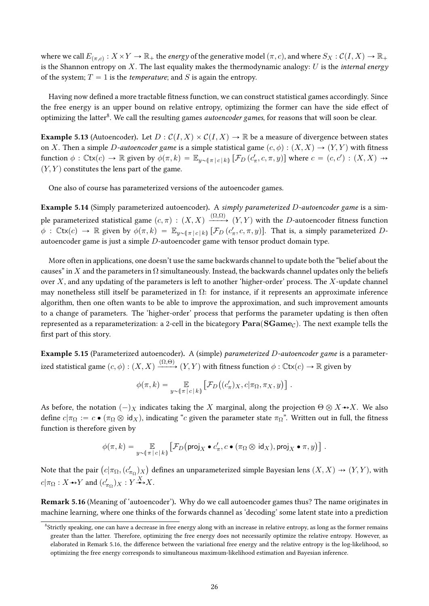where we call  $E_{(\pi,c)}: X \times Y \to \mathbb{R}_+$  the *energy* of the generative model  $(\pi, c)$ , and where  $S_X: \mathcal{C}(I, X) \to \mathbb{R}_+$ is the Shannon entropy on  $X$ . The last equality makes the thermodynamic analogy:  $U$  is the internal energy of the system;  $T = 1$  is the *temperature*; and S is again the entropy.

Having now defined a more tractable fitness function, we can construct statistical games accordingly. Since the free energy is an upper bound on relative entropy, optimizing the former can have the side effect of optimizing the latter<sup>8</sup>. We call the resulting games *autoencoder games*, for reasons that will soon be clear.

**Example 5.13** (Autoencoder). Let  $D: C(I, X) \times C(I, X) \rightarrow \mathbb{R}$  be a measure of divergence between states on X. Then a simple D-autoencoder game is a simple statistical game  $(c, \phi) : (X, X) \to (Y, Y)$  with fitness function  $\phi$  :  $\mathbb{C}\mathsf{tx}(c) \to \mathbb{R}$  given by  $\phi(\pi, k) = \mathbb{E}_{y \sim (\pi | c | k)} [\mathcal{F}_D(c'_{\pi}, c, \pi, y)]$  where  $c = (c, c') : (X, X) \to (X, X)$  $(Y, Y)$  constitutes the lens part of the game.

One also of course has parameterized versions of the autoencoder games.

Example 5.14 (Simply parameterized autoencoder). A simply parameterized D-autoencoder game is a simple parameterized statistical game  $(c, \pi) : (X, X) \xrightarrow{(\Omega, \Omega)} (Y, Y)$  with the  $D$ -autoencoder fitness function  $\phi$  :  $\mathbb{C}tx(c) \to \mathbb{R}$  given by  $\phi(\pi, k) = \mathbb{E}_{y \sim (\pi | c | k)} [\mathcal{F}_D(c'_\pi, c, \pi, y)]$ . That is, a simply parameterized Dautoencoder game is just a simple D-autoencoder game with tensor product domain type.

More often in applications, one doesn't use the same backwards channel to update both the "belief about the causes" in X and the parameters in  $\Omega$  simultaneously. Instead, the backwards channel updates only the beliefs over  $X$ , and any updating of the parameters is left to another 'higher-order' process. The  $X$ -update channel may nonetheless still itself be parameterized in  $\Omega$ : for instance, if it represents an approximate inference algorithm, then one often wants to be able to improve the approximation, and such improvement amounts to a change of parameters. The 'higher-order' process that performs the parameter updating is then often represented as a reparameterization: a 2-cell in the bicategory  $\textbf{Para}(\textbf{SGame}_C)$ . The next example tells the first part of this story.

Example 5.15 (Parameterized autoencoder). A (simple) parameterized D-autoencoder game is a parameterized statistical game  $(c, \phi) : (X, X) \xrightarrow{(\Omega, \Theta)} (Y, Y)$  with fitness function  $\phi : \mathbb{C}$ tx $(c) \to \mathbb{R}$  given by

$$
\phi(\pi, k) = \mathop{\mathbb{E}}_{y \sim (\pi |c|k)} \left[ \mathcal{F}_D((c'_{\pi})_X, c | \pi_{\Omega}, \pi_X, y) \right].
$$

As before, the notation  $(-)_X$  indicates taking the X marginal, along the projection  $\Theta \otimes X \rightarrow X$ . We also define  $c|\pi_{\Omega} := c \bullet (\pi_{\Omega} \otimes id_X)$ , indicating "c given the parameter state  $\pi_{\Omega}$ ". Written out in full, the fitness function is therefore given by

$$
\phi(\pi,k) = \mathop{\mathbb{E}}_{y \sim (\pi |c|k)} \left[ \mathcal{F}_D \left( \text{proj}_X \bullet c'_{\pi}, c \bullet (\pi_{\Omega} \otimes \text{id}_X), \text{proj}_X \bullet \pi, y \right) \right].
$$

Note that the pair  $\bigl(c|\pi_\Omega,(c'_{\pi_\Omega})_X\bigr)$ defines an unparameterized simple Bayesian lens  $(X, X) \rightarrow (Y, Y)$ , with  $c|\pi_{\Omega}: X \rightarrow Y$  and  $(c'_{\pi_{\Omega}})_X : Y \xrightarrow{X} X$ .

Remark 5.16 (Meaning of 'autoencoder'). Why do we call autoencoder games thus? The name originates in machine learning, where one thinks of the forwards channel as 'decoding' some latent state into a prediction

<sup>8</sup> Strictly speaking, one can have a decrease in free energy along with an increase in relative entropy, as long as the former remains greater than the latter. Therefore, optimizing the free energy does not necessarily optimize the relative entropy. However, as elaborated in Remark 5.16, the difference between the variational free energy and the relative entropy is the log-likelihood, so optimizing the free energy corresponds to simultaneous maximum-likelihood estimation and Bayesian inference.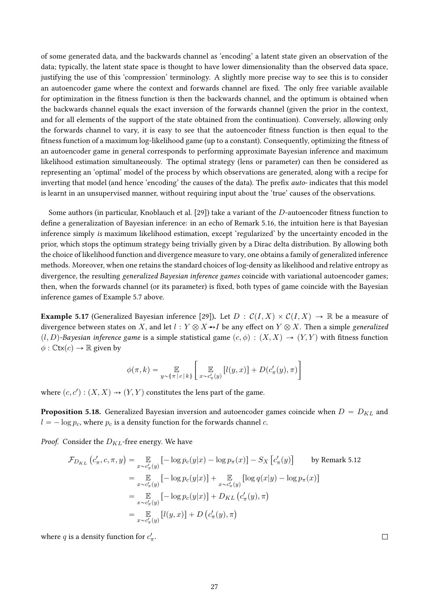of some generated data, and the backwards channel as 'encoding' a latent state given an observation of the data; typically, the latent state space is thought to have lower dimensionality than the observed data space, justifying the use of this 'compression' terminology. A slightly more precise way to see this is to consider an autoencoder game where the context and forwards channel are fixed. The only free variable available for optimization in the fitness function is then the backwards channel, and the optimum is obtained when the backwards channel equals the exact inversion of the forwards channel (given the prior in the context, and for all elements of the support of the state obtained from the continuation). Conversely, allowing only the forwards channel to vary, it is easy to see that the autoencoder fitness function is then equal to the fitness function of a maximum log-likelihood game (up to a constant). Consequently, optimizing the fitness of an autoencoder game in general corresponds to performing approximate Bayesian inference and maximum likelihood estimation simultaneously. The optimal strategy (lens or parameter) can then be considered as representing an 'optimal' model of the process by which observations are generated, along with a recipe for inverting that model (and hence 'encoding' the causes of the data). The prefix *auto-* indicates that this model is learnt in an unsupervised manner, without requiring input about the 'true' causes of the observations.

Some authors (in particular, Knoblauch et al. [29]) take a variant of the  $D$ -autoencoder fitness function to define a generalization of Bayesian inference: in an echo of Remark 5.16, the intuition here is that Bayesian inference simply is maximum likelihood estimation, except 'regularized' by the uncertainty encoded in the prior, which stops the optimum strategy being trivially given by a Dirac delta distribution. By allowing both the choice of likelihood function and divergence measure to vary, one obtains a family of generalized inference methods. Moreover, when one retains the standard choices of log-density as likelihood and relative entropy as divergence, the resulting generalized Bayesian inference games coincide with variational autoencoder games; then, when the forwards channel (or its parameter) is fixed, both types of game coincide with the Bayesian inference games of Example 5.7 above.

**Example 5.17** (Generalized Bayesian inference [29]). Let  $D : C(I, X) \times C(I, X) \rightarrow \mathbb{R}$  be a measure of divergence between states on X, and let  $l : Y \otimes X \rightarrow I$  be any effect on  $Y \otimes X$ . Then a simple generalized  $(l, D)$ -Bayesian inference game is a simple statistical game  $(c, \phi) : (X, X) \to (Y, Y)$  with fitness function  $\phi : \mathbb{C}$ tx $(c) \rightarrow \mathbb{R}$  given by

$$
\phi(\pi, k) = \mathop{\mathbb{E}}_{y \sim (\pi |c|k)} \left[ \mathop{\mathbb{E}}_{x \sim c'_{\pi}(y)} [l(y, x)] + D(c'_{\pi}(y), \pi) \right]
$$

where  $(c, c') : (X, X) \rightarrow (Y, Y)$  constitutes the lens part of the game.

**Proposition 5.18.** Generalized Bayesian inversion and autoencoder games coincide when  $D = D_{KL}$  and  $l = -\log p_c$ , where  $p_c$  is a density function for the forwards channel c.

*Proof.* Consider the  $D_{KL}$ -free energy. We have

$$
\mathcal{F}_{D_{KL}}(c'_{\pi}, c, \pi, y) = \mathop{\mathbb{E}}_{x \sim c'_{\pi}(y)} [-\log p_c(y|x) - \log p_{\pi}(x)] - S_X[c'_{\pi}(y)] \qquad \text{by Remark 5.12}
$$

$$
= \mathop{\mathbb{E}}_{x \sim c'_{\pi}(y)} [-\log p_c(y|x)] + \mathop{\mathbb{E}}_{x \sim c'_{\pi}(y)} [\log q(x|y) - \log p_{\pi}(x)]
$$

$$
= \mathop{\mathbb{E}}_{x \sim c'_{\pi}(y)} [-\log p_c(y|x)] + D_{KL}(c'_{\pi}(y), \pi)
$$

$$
= \mathop{\mathbb{E}}_{x \sim c'_{\pi}(y)} [l(y, x)] + D(c'_{\pi}(y), \pi)
$$

where  $q$  is a density function for  $c'_\pi$ .

 $\Box$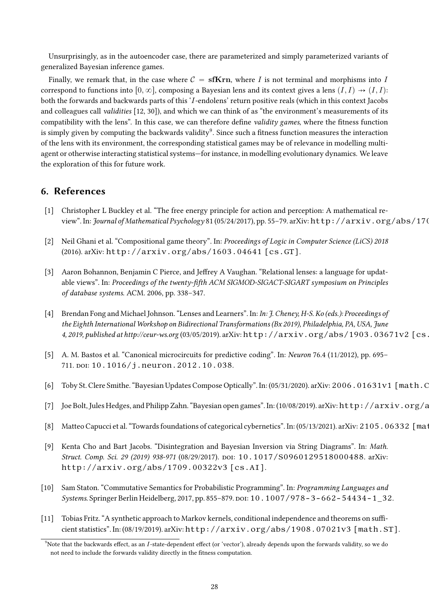Unsurprisingly, as in the autoencoder case, there are parameterized and simply parameterized variants of generalized Bayesian inference games.

Finally, we remark that, in the case where  $C = \textbf{sfKrn}$ , where I is not terminal and morphisms into I correspond to functions into  $[0, \infty]$ , composing a Bayesian lens and its context gives a lens  $(I, I) \rightarrow (I, I)$ : both the forwards and backwards parts of this 'I-endolens' return positive reals (which in this context Jacobs and colleagues call validities [12, 30]), and which we can think of as "the environment's measurements of its compatibility with the lens". In this case, we can therefore define validity games, where the fitness function is simply given by computing the backwards validity $^9$ . Since such a fitness function measures the interaction of the lens with its environment, the corresponding statistical games may be of relevance in modelling multiagent or otherwise interacting statistical systems—for instance, in modelling evolutionary dynamics. We leave the exploration of this for future work.

## 6. References

- [1] Christopher L Buckley et al. "The free energy principle for action and perception: A mathematical review". In: Journal of Mathematical Psychology 81 (05/24/2017), pp. 55-79. arXiv: http://arxiv.org/abs/170.
- [2] Neil Ghani et al. "Compositional game theory". In: Proceedings of Logic in Computer Science (LiCS) 2018 (2016). arXiv: http://arxiv.org/abs/1603.04641 [cs.GT].
- [3] Aaron Bohannon, Benjamin C Pierce, and Jeffrey A Vaughan. "Relational lenses: a language for updatable views". In: Proceedings of the twenty-fifth ACM SIGMOD-SIGACT-SIGART symposium on Principles of database systems. ACM. 2006, pp. 338–347.
- [4] Brendan Fong and Michael Johnson. "Lenses and Learners". In: In: J. Cheney, H-S. Ko (eds.): Proceedings of the Eighth International Workshop on Bidirectional Transformations (Bx 2019), Philadelphia, PA, USA, June 4, 2019, published at http://ceur-ws.org (03/05/2019). arXiv: http://arxiv.org/abs/1903.03671v2 [cs.
- [5] A. M. Bastos et al. "Canonical microcircuits for predictive coding". In: Neuron 76.4 (11/2012), pp. 695– 711. doi: 10.1016/j.neuron. 2012.10.038.
- [6] Toby St. Clere Smithe. "Bayesian Updates Compose Optically". In: (05/31/2020). arXiv: 2006.01631v1 [math.C
- [7] Joe Bolt, Jules Hedges, and Philipp Zahn. "Bayesian open games". In: (10/08/2019). arXiv: http://arxiv.org/a
- [8] Matteo Capucci et al. "Towards foundations of categorical cybernetics". In: (05/13/2021). arXiv: 2105.06332 [math.CT].
- [9] Kenta Cho and Bart Jacobs. "Disintegration and Bayesian Inversion via String Diagrams". In: Math. Struct. Comp. Sci. 29 (2019) 938-971 (08/29/2017). poi: 10.1017/S0960129518000488. arXiv: http://arxiv.org/abs/1709.00322v3 [cs.AI].
- [10] Sam Staton. "Commutative Semantics for Probabilistic Programming". In: Programming Languages and Systems. Springer Berlin Heidelberg, 2017, pp. 855–879. doi: 10.1007/978-3-662-54434-1\_32.
- [11] Tobias Fritz. "A synthetic approach to Markov kernels, conditional independence and theorems on sufficient statistics". In: (08/19/2019). arXiv: http://arxiv.org/abs/1908.07021v3 [math.ST].

 $9$ Note that the backwards effect, as an  $I$ -state-dependent effect (or 'vector'), already depends upon the forwards validity, so we do not need to include the forwards validity directly in the fitness computation.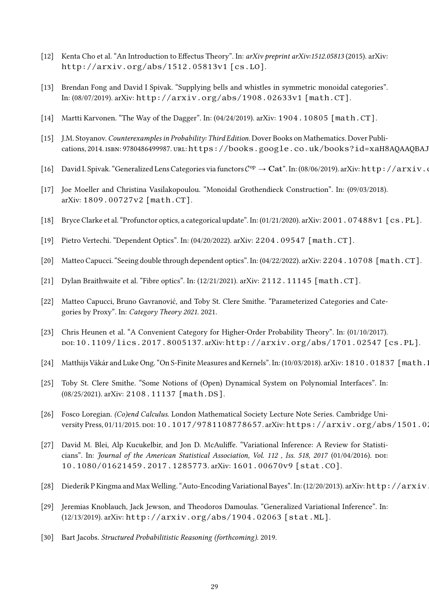- [12] Kenta Cho et al. "An Introduction to Effectus Theory". In: arXiv preprint arXiv:1512.05813 (2015). arXiv: http://arxiv.org/abs/1512.05813v1 [cs.LO].
- [13] Brendan Fong and David I Spivak. "Supplying bells and whistles in symmetric monoidal categories". In: (08/07/2019). arXiv: http://arxiv.org/abs/1908.02633v1 [math.CT].
- [14] Martti Karvonen. "The Way of the Dagger". In: (04/24/2019). arXiv: 1904.10805 [math.CT].
- [15] J.M. Stoyanov. Counterexamples in Probability: Third Edition. Dover Books on Mathematics. Dover Publications, 2014. ISBN: 9780486499987. URL: https://books.google.co.uk/books?id=xaH8AQAAQBAJ
- [16] David I. Spivak. "Generalized Lens Categories via functors  $C^{op} \to \mathbf{Cat}$ ". In: (08/06/2019). arXiv: http://arxiv.
- [17] Joe Moeller and Christina Vasilakopoulou. "Monoidal Grothendieck Construction". In: (09/03/2018). arXiv: 1809.00727v2 [math.CT].
- [18] Bryce Clarke et al. "Profunctor optics, a categorical update". In: (01/21/2020). arXiv: 2001.07488v1 [cs.PL].
- [19] Pietro Vertechi. "Dependent Optics". In: (04/20/2022). arXiv: 2204.09547 [math.CT].
- [20] Matteo Capucci. "Seeing double through dependent optics". In: (04/22/2022). arXiv: 2204.10708 [math.CT].
- [21] Dylan Braithwaite et al. "Fibre optics". In: (12/21/2021). arXiv: 2112.11145 [math.CT].
- [22] Matteo Capucci, Bruno Gavranović, and Toby St. Clere Smithe. "Parameterized Categories and Categories by Proxy". In: Category Theory 2021. 2021.
- [23] Chris Heunen et al. "A Convenient Category for Higher-Order Probability Theory". In: (01/10/2017). doi: 10.1109/lics.2017.8005137. arXiv: http://arxiv.org/abs/1701.02547 [cs.PL].
- [24] Matthijs Vákár and Luke Ong. "On S-Finite Measures and Kernels". In: (10/03/2018). arXiv: 1810.01837 [math.]
- [25] Toby St. Clere Smithe. "Some Notions of (Open) Dynamical System on Polynomial Interfaces". In: (08/25/2021). arXiv: 2108.11137 [math.DS].
- [26] Fosco Loregian. (Co)end Calculus. London Mathematical Society Lecture Note Series. Cambridge University Press, 01/11/2015. poi: 10.1017/9781108778657. arXiv: https://arxiv.org/abs/1501.0.
- [27] David M. Blei, Alp Kucukelbir, and Jon D. McAuliffe. "Variational Inference: A Review for Statisticians". In: Journal of the American Statistical Association, Vol. 112, Iss. 518, 2017 (01/04/2016). DOI: 10.1080/01621459.2017.1285773. arXiv: 1601.00670v9 [stat.CO].
- [28] Diederik P Kingma and Max Welling. "Auto-Encoding Variational Bayes". In: (12/20/2013). arXiv: http://arxiv
- [29] Jeremias Knoblauch, Jack Jewson, and Theodoros Damoulas. "Generalized Variational Inference". In: (12/13/2019). arXiv: http://arxiv.org/abs/1904.02063 [stat.ML].
- [30] Bart Jacobs. Structured Probabilitistic Reasoning (forthcoming). 2019.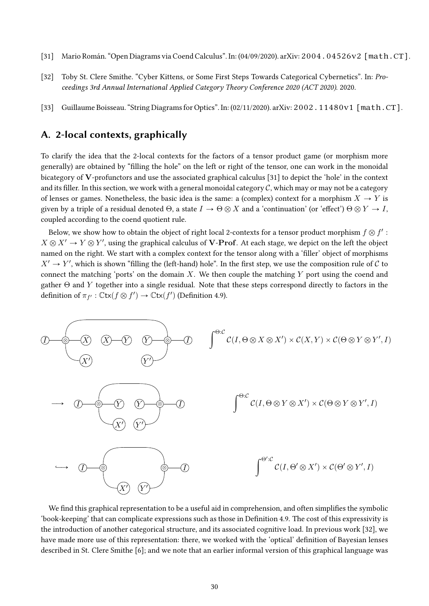- [31] Mario Román. "Open Diagrams via Coend Calculus". In: (04/09/2020). arXiv: 2004.04526v2 [math.CT].
- [32] Toby St. Clere Smithe. "Cyber Kittens, or Some First Steps Towards Categorical Cybernetics". In: Proceedings 3rd Annual International Applied Category Theory Conference 2020 (ACT 2020). 2020.
- [33] Guillaume Boisseau. "String Diagrams for Optics". In: (02/11/2020). arXiv: 2002. 11480v1 [math.CT].

## A. 2-local contexts, graphically

To clarify the idea that the 2-local contexts for the factors of a tensor product game (or morphism more generally) are obtained by "filling the hole" on the left or right of the tensor, one can work in the monoidal bicategory of V-profunctors and use the associated graphical calculus [31] to depict the 'hole' in the context and its filler. In this section, we work with a general monoidal category  $\mathcal C$ , which may or may not be a category of lenses or games. Nonetheless, the basic idea is the same: a (complex) context for a morphism  $X \to Y$  is given by a triple of a residual denoted  $\Theta$ , a state  $I \to \Theta \otimes X$  and a 'continuation' (or 'effect')  $\Theta \otimes Y \to I$ , coupled according to the coend quotient rule.

Below, we show how to obtain the object of right local 2-contexts for a tensor product morphism  $f \otimes f'$  :  $X \otimes X' \to Y \otimes Y'$ , using the graphical calculus of **V-Prof**. At each stage, we depict on the left the object named on the right. We start with a complex context for the tensor along with a 'filler' object of morphisms  $X' \to Y'$ , which is shown "filling the (left-hand) hole". In the first step, we use the composition rule of C to connect the matching 'ports' on the domain X. We then couple the matching  $Y$  port using the coend and gather Θ and Y together into a single residual. Note that these steps correspond directly to factors in the definition of  $\pi_{f'} : \mathbb{C}\mathsf{tx}(f \otimes f') \to \mathbb{C}\mathsf{tx}(f')$  (Definition 4.9).



We find this graphical representation to be a useful aid in comprehension, and often simplifies the symbolic 'book-keeping' that can complicate expressions such as those in Definition 4.9. The cost of this expressivity is the introduction of another categorical structure, and its associated cognitive load. In previous work [32], we have made more use of this representation: there, we worked with the 'optical' definition of Bayesian lenses described in St. Clere Smithe [6]; and we note that an earlier informal version of this graphical language was